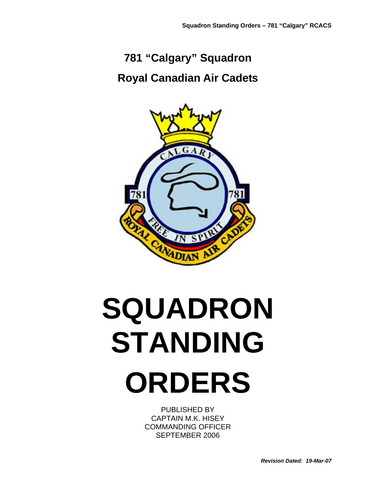# **781 "Calgary" Squadron Royal Canadian Air Cadets**



# **SQUADRON STANDING ORDERS**

PUBLISHED BY CAPTAIN M.K. HISEY COMMANDING OFFICER SEPTEMBER 2006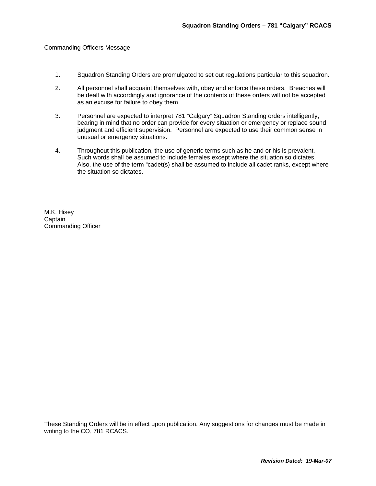#### Commanding Officers Message

- 1. Squadron Standing Orders are promulgated to set out regulations particular to this squadron.
- 2. All personnel shall acquaint themselves with, obey and enforce these orders. Breaches will be dealt with accordingly and ignorance of the contents of these orders will not be accepted as an excuse for failure to obey them.
- 3. Personnel are expected to interpret 781 "Calgary" Squadron Standing orders intelligently, bearing in mind that no order can provide for every situation or emergency or replace sound judgment and efficient supervision. Personnel are expected to use their common sense in unusual or emergency situations.
- 4. Throughout this publication, the use of generic terms such as he and or his is prevalent. Such words shall be assumed to include females except where the situation so dictates. Also, the use of the term "cadet(s) shall be assumed to include all cadet ranks, except where the situation so dictates.

M.K. Hisey **Captain** Commanding Officer

These Standing Orders will be in effect upon publication. Any suggestions for changes must be made in writing to the CO, 781 RCACS.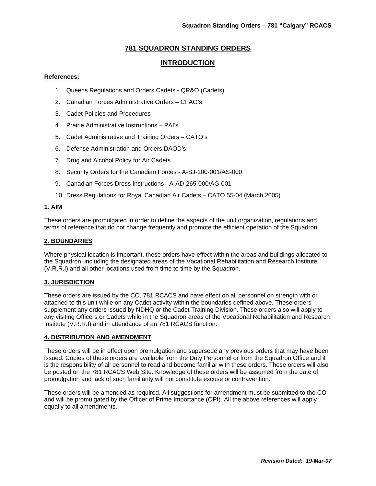# **781 SQUADRON STANDING ORDERS**

# **INTRODUCTION**

#### **References:**

- 1. Queens Regulations and Orders Cadets QR&O (Cadets)
- 2. Canadian Forces Administrative Orders CFAO's
- 3. Cadet Policies and Procedures
- 4. Prairie Administrative Instructions PAI's
- 5. Cadet Administrative and Training Orders CATO's
- 6. Defense Administration and Orders DAOD's
- 7. Drug and Alcohol Policy for Air Cadets
- 8. Security Orders for the Canadian Forces A-SJ-100-001/AS-000
- 9. Canadian Forces Dress Instructions A-AD-265-000/AG-001
- 10. Dress Regulations for Royal Canadian Air Cadets CATO 55-04 (March 2005)

#### **1. AIM**

These orders are promulgated in order to define the aspects of the unit organization, regulations and terms of reference that do not change frequently and promote the efficient operation of the Squadron.

#### **2. BOUNDARIES**

Where physical location is important, these orders have effect within the areas and buildings allocated to the Squadron, including the designated areas of the Vocational Rehabilitation and Research Institute (V.R.R.I) and all other locations used from time to time by the Squadron.

#### **3. JURISDICTION**

These orders are issued by the CO, 781 RCACS and have effect on all personnel on strength with or attached to this unit while on any Cadet activity within the boundaries defined above. These orders supplement any orders issued by NDHQ or the Cadet Training Division. These orders also will apply to any visiting Officers or Cadets while in the Squadron areas of the Vocational Rehabilitation and Research Institute (V.R.R.I) and in attendance of an 781 RCACS function.

#### **4. DISTRIBUTION AND AMENDMENT**

These orders will be in effect upon promulgation and supersede any previous orders that may have been issued. Copies of these orders are available from the Duty Personnel or from the Squadron Office and it is the responsibility of all personnel to read and become familiar with these orders. These orders will also be posted on the 781 RCACS Web Site. Knowledge of these orders will be assumed from the date of promulgation and lack of such familiarity will not constitute excuse or contravention.

These orders will be amended as required. All suggestions for amendment must be submitted to the CO and will be promulgated by the Officer of Prime Importance (OPI). All the above references will apply equally to all amendments.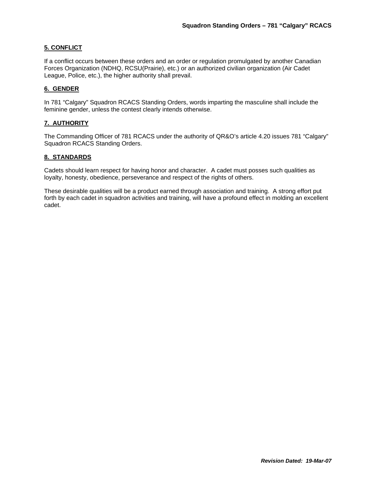#### **5. CONFLICT**

If a conflict occurs between these orders and an order or regulation promulgated by another Canadian Forces Organization (NDHQ, RCSU(Prairie), etc.) or an authorized civilian organization (Air Cadet League, Police, etc.), the higher authority shall prevail.

#### **6. GENDER**

In 781 "Calgary" Squadron RCACS Standing Orders, words imparting the masculine shall include the feminine gender, unless the contest clearly intends otherwise.

#### **7. AUTHORITY**

The Commanding Officer of 781 RCACS under the authority of QR&O's article 4.20 issues 781 "Calgary" Squadron RCACS Standing Orders.

#### **8. STANDARDS**

Cadets should learn respect for having honor and character. A cadet must posses such qualities as loyalty, honesty, obedience, perseverance and respect of the rights of others.

These desirable qualities will be a product earned through association and training. A strong effort put forth by each cadet in squadron activities and training, will have a profound effect in molding an excellent cadet.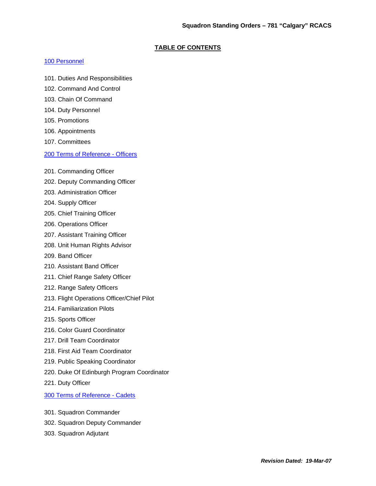#### **TABLE OF CONTENTS**

#### 100 Personnel

- 101. Duties And Responsibilities
- 102. Command And Control
- 103. Chain Of Command
- 104. Duty Personnel
- 105. Promotions
- 106. Appointments
- 107. Committees

#### 200 Terms of Reference - Officers

- 201. Commanding Officer
- 202. Deputy Commanding Officer
- 203. Administration Officer
- 204. Supply Officer
- 205. Chief Training Officer
- 206. Operations Officer
- 207. Assistant Training Officer
- 208. Unit Human Rights Advisor
- 209. Band Officer
- 210. Assistant Band Officer
- 211. Chief Range Safety Officer
- 212. Range Safety Officers
- 213. Flight Operations Officer/Chief Pilot
- 214. Familiarization Pilots
- 215. Sports Officer
- 216. Color Guard Coordinator
- 217. Drill Team Coordinator
- 218. First Aid Team Coordinator
- 219. Public Speaking Coordinator
- 220. Duke Of Edinburgh Program Coordinator
- 221. Duty Officer

300 Terms of Reference - Cadets

- 301. Squadron Commander
- 302. Squadron Deputy Commander
- 303. Squadron Adjutant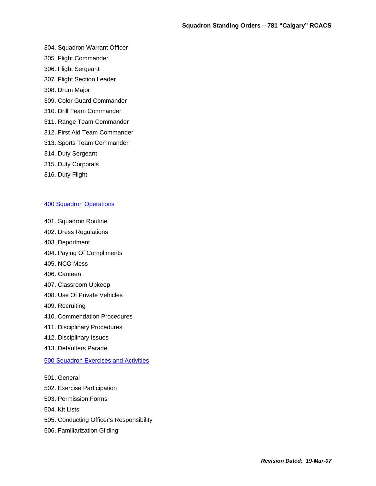- 304. Squadron Warrant Officer
- 305. Flight Commander
- 306. Flight Sergeant
- 307. Flight Section Leader
- 308. Drum Major
- 309. Color Guard Commander
- 310. Drill Team Commander
- 311. Range Team Commander
- 312. First Aid Team Commander
- 313. Sports Team Commander
- 314. Duty Sergeant
- 315. Duty Corporals
- 316. Duty Flight

#### 400 Squadron Operations

- 401. Squadron Routine
- 402. Dress Regulations
- 403. Deportment
- 404. Paying Of Compliments
- 405. NCO Mess
- 406. Canteen
- 407. Classroom Upkeep
- 408. Use Of Private Vehicles
- 409. Recruiting
- 410. Commendation Procedures
- 411. Disciplinary Procedures
- 412. Disciplinary Issues
- 413. Defaulters Parade

#### 500 Squadron Exercises and Activities

- 501. General
- 502. Exercise Participation
- 503. Permission Forms
- 504. Kit Lists
- 505. Conducting Officer's Responsibility
- 506. Familiarization Gliding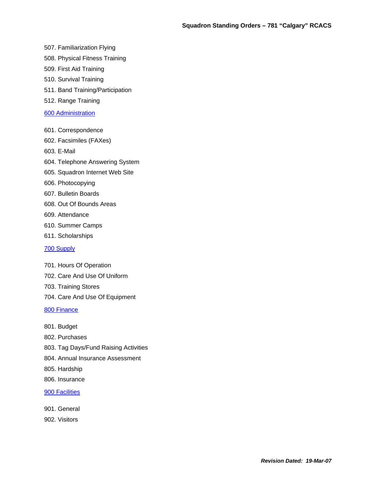507. Familiarization Flying

- 508. Physical Fitness Training
- 509. First Aid Training
- 510. Survival Training
- 511. Band Training/Participation
- 512. Range Training

#### 600 Administration

- 601. Correspondence
- 602. Facsimiles (FAXes)
- 603. E-Mail
- 604. Telephone Answering System
- 605. Squadron Internet Web Site
- 606. Photocopying
- 607. Bulletin Boards
- 608. Out Of Bounds Areas
- 609. Attendance
- 610. Summer Camps
- 611. Scholarships

#### 700 Supply

- 701. Hours Of Operation
- 702. Care And Use Of Uniform
- 703. Training Stores
- 704. Care And Use Of Equipment
- 800 Finance
- 801. Budget
- 802. Purchases
- 803. Tag Days/Fund Raising Activities
- 804. Annual Insurance Assessment
- 805. Hardship
- 806. Insurance

#### 900 Facilities

- 901. General
- 902. Visitors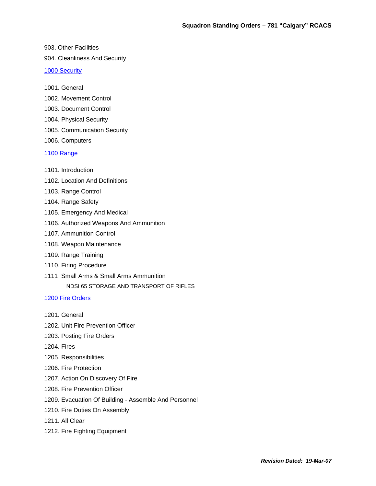903. Other Facilities

904. Cleanliness And Security

1000 Security

1001. General

1002. Movement Control

- 1003. Document Control
- 1004. Physical Security
- 1005. Communication Security
- 1006. Computers

#### 1100 Range

- 1101. Introduction
- 1102. Location And Definitions
- 1103. Range Control
- 1104. Range Safety
- 1105. Emergency And Medical
- 1106. Authorized Weapons And Ammunition
- 1107. Ammunition Control
- 1108. Weapon Maintenance
- 1109. Range Training
- 1110. Firing Procedure
- 1111 Small Arms & Small Arms Ammunition

#### NDSI 65 STORAGE AND TRANSPORT OF RIFLES

#### 1200 Fire Orders

- 1201. General
- 1202. Unit Fire Prevention Officer
- 1203. Posting Fire Orders
- 1204. Fires
- 1205. Responsibilities
- 1206. Fire Protection
- 1207. Action On Discovery Of Fire
- 1208. Fire Prevention Officer
- 1209. Evacuation Of Building Assemble And Personnel
- 1210. Fire Duties On Assembly
- 1211. All Clear
- 1212. Fire Fighting Equipment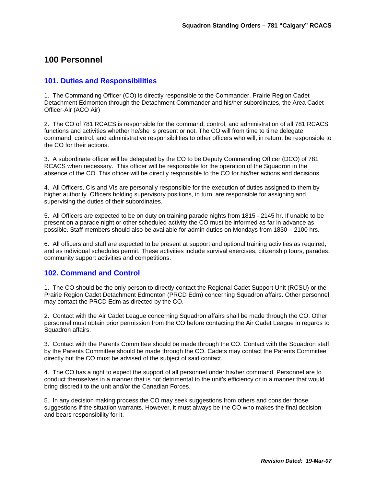# **100 Personnel**

#### **101. Duties and Responsibilities**

1. The Commanding Officer (CO) is directly responsible to the Commander, Prairie Region Cadet Detachment Edmonton through the Detachment Commander and his/her subordinates, the Area Cadet Officer-Air (ACO Air)

2. The CO of 781 RCACS is responsible for the command, control, and administration of all 781 RCACS functions and activities whether he/she is present or not. The CO will from time to time delegate command, control, and administrative responsibilities to other officers who will, in return, be responsible to the CO for their actions.

3. A subordinate officer will be delegated by the CO to be Deputy Commanding Officer (DCO) of 781 RCACS when necessary. This officer will be responsible for the operation of the Squadron in the absence of the CO. This officer will be directly responsible to the CO for his/her actions and decisions.

4. All Officers, CIs and VIs are personally responsible for the execution of duties assigned to them by higher authority. Officers holding supervisory positions, in turn, are responsible for assigning and supervising the duties of their subordinates.

5. All Officers are expected to be on duty on training parade nights from 1815 - 2145 hr. If unable to be present on a parade night or other scheduled activity the CO must be informed as far in advance as possible. Staff members should also be available for admin duties on Mondays from 1830 – 2100 hrs.

6. All officers and staff are expected to be present at support and optional training activities as required, and as individual schedules permit. These activities include survival exercises, citizenship tours, parades, community support activities and competitions.

# **102. Command and Control**

1. The CO should be the only person to directly contact the Regional Cadet Support Unit (RCSU) or the Prairie Region Cadet Detachment Edmonton (PRCD Edm) concerning Squadron affairs. Other personnel may contact the PRCD Edm as directed by the CO.

2. Contact with the Air Cadet League concerning Squadron affairs shall be made through the CO. Other personnel must obtain prior permission from the CO before contacting the Air Cadet League in regards to Squadron affairs.

3. Contact with the Parents Committee should be made through the CO. Contact with the Squadron staff by the Parents Committee should be made through the CO. Cadets may contact the Parents Committee directly but the CO must be advised of the subject of said contact.

4. The CO has a right to expect the support of all personnel under his/her command. Personnel are to conduct themselves in a manner that is not detrimental to the unit's efficiency or in a manner that would bring discredit to the unit and/or the Canadian Forces.

5. In any decision making process the CO may seek suggestions from others and consider those suggestions if the situation warrants. However, it must always be the CO who makes the final decision and bears responsibility for it.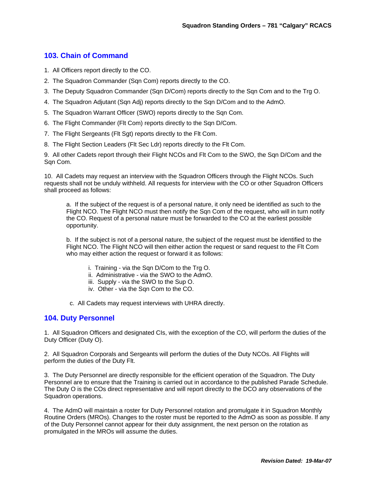# **103. Chain of Command**

- 1. All Officers report directly to the CO.
- 2. The Squadron Commander (Sqn Com) reports directly to the CO.
- 3. The Deputy Squadron Commander (Sqn D/Com) reports directly to the Sqn Com and to the Trg O.
- 4. The Squadron Adjutant (Sqn Adj) reports directly to the Sqn D/Com and to the AdmO.
- 5. The Squadron Warrant Officer (SWO) reports directly to the Sqn Com.
- 6. The Flight Commander (Flt Com) reports directly to the Sqn D/Com.
- 7. The Flight Sergeants (Flt Sgt) reports directly to the Flt Com.
- 8. The Flight Section Leaders (Flt Sec Ldr) reports directly to the Flt Com.

9. All other Cadets report through their Flight NCOs and Flt Com to the SWO, the Sqn D/Com and the Sqn Com.

10. All Cadets may request an interview with the Squadron Officers through the Flight NCOs. Such requests shall not be unduly withheld. All requests for interview with the CO or other Squadron Officers shall proceed as follows:

a. If the subject of the request is of a personal nature, it only need be identified as such to the Flight NCO. The Flight NCO must then notify the Sqn Com of the request, who will in turn notify the CO. Request of a personal nature must be forwarded to the CO at the earliest possible opportunity.

b. If the subject is not of a personal nature, the subject of the request must be identified to the Flight NCO. The Flight NCO will then either action the request or sand request to the Flt Com who may either action the request or forward it as follows:

- i. Training via the Sqn D/Com to the Trg O.
- ii. Administrative via the SWO to the AdmO.
- iii. Supply via the SWO to the Sup O.
- iv. Other via the Sqn Com to the CO.
- c. All Cadets may request interviews with UHRA directly.

#### **104. Duty Personnel**

1. All Squadron Officers and designated CIs, with the exception of the CO, will perform the duties of the Duty Officer (Duty O).

2. All Squadron Corporals and Sergeants will perform the duties of the Duty NCOs. All Flights will perform the duties of the Duty Flt.

3. The Duty Personnel are directly responsible for the efficient operation of the Squadron. The Duty Personnel are to ensure that the Training is carried out in accordance to the published Parade Schedule. The Duty O is the COs direct representative and will report directly to the DCO any observations of the Squadron operations.

4. The AdmO will maintain a roster for Duty Personnel rotation and promulgate it in Squadron Monthly Routine Orders (MROs). Changes to the roster must be reported to the AdmO as soon as possible. If any of the Duty Personnel cannot appear for their duty assignment, the next person on the rotation as promulgated in the MROs will assume the duties.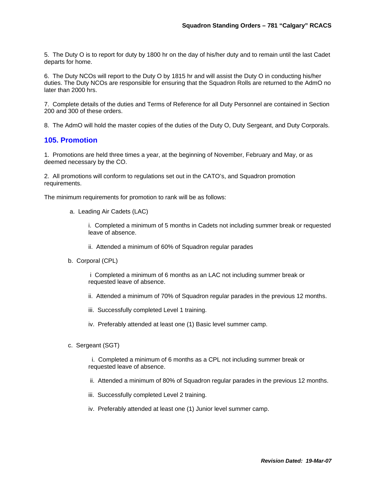5. The Duty O is to report for duty by 1800 hr on the day of his/her duty and to remain until the last Cadet departs for home.

6. The Duty NCOs will report to the Duty O by 1815 hr and will assist the Duty O in conducting his/her duties. The Duty NCOs are responsible for ensuring that the Squadron Rolls are returned to the AdmO no later than 2000 hrs.

7. Complete details of the duties and Terms of Reference for all Duty Personnel are contained in Section 200 and 300 of these orders.

8. The AdmO will hold the master copies of the duties of the Duty O, Duty Sergeant, and Duty Corporals.

#### **105. Promotion**

1. Promotions are held three times a year, at the beginning of November, February and May, or as deemed necessary by the CO.

2. All promotions will conform to regulations set out in the CATO's, and Squadron promotion requirements.

The minimum requirements for promotion to rank will be as follows:

a. Leading Air Cadets (LAC)

i. Completed a minimum of 5 months in Cadets not including summer break or requested leave of absence.

- ii. Attended a minimum of 60% of Squadron regular parades
- b. Corporal (CPL)

 i Completed a minimum of 6 months as an LAC not including summer break or requested leave of absence.

- ii. Attended a minimum of 70% of Squadron regular parades in the previous 12 months.
- iii. Successfully completed Level 1 training.
- iv. Preferably attended at least one (1) Basic level summer camp.
- c. Sergeant (SGT)

 i. Completed a minimum of 6 months as a CPL not including summer break or requested leave of absence.

- ii. Attended a minimum of 80% of Squadron regular parades in the previous 12 months.
- iii. Successfully completed Level 2 training.
- iv. Preferably attended at least one (1) Junior level summer camp.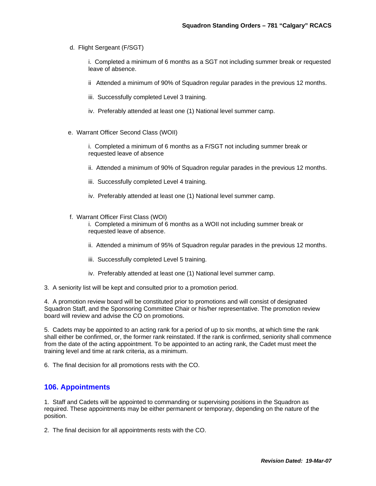d. Flight Sergeant (F/SGT)

i. Completed a minimum of 6 months as a SGT not including summer break or requested leave of absence.

- ii Attended a minimum of 90% of Squadron regular parades in the previous 12 months.
- iii. Successfully completed Level 3 training.
- iv. Preferably attended at least one (1) National level summer camp.
- e. Warrant Officer Second Class (WOII)

i. Completed a minimum of 6 months as a F/SGT not including summer break or requested leave of absence

- ii. Attended a minimum of 90% of Squadron regular parades in the previous 12 months.
- iii. Successfully completed Level 4 training.
- iv. Preferably attended at least one (1) National level summer camp.
- f. Warrant Officer First Class (WOI)

i. Completed a minimum of 6 months as a WOII not including summer break or requested leave of absence.

- ii. Attended a minimum of 95% of Squadron regular parades in the previous 12 months.
- iii. Successfully completed Level 5 training.
- iv. Preferably attended at least one (1) National level summer camp.
- 3. A seniority list will be kept and consulted prior to a promotion period.

4. A promotion review board will be constituted prior to promotions and will consist of designated Squadron Staff, and the Sponsoring Committee Chair or his/her representative. The promotion review board will review and advise the CO on promotions.

5. Cadets may be appointed to an acting rank for a period of up to six months, at which time the rank shall either be confirmed, or, the former rank reinstated. If the rank is confirmed, seniority shall commence from the date of the acting appointment. To be appointed to an acting rank, the Cadet must meet the training level and time at rank criteria, as a minimum.

6. The final decision for all promotions rests with the CO.

#### **106. Appointments**

1. Staff and Cadets will be appointed to commanding or supervising positions in the Squadron as required. These appointments may be either permanent or temporary, depending on the nature of the position.

2. The final decision for all appointments rests with the CO.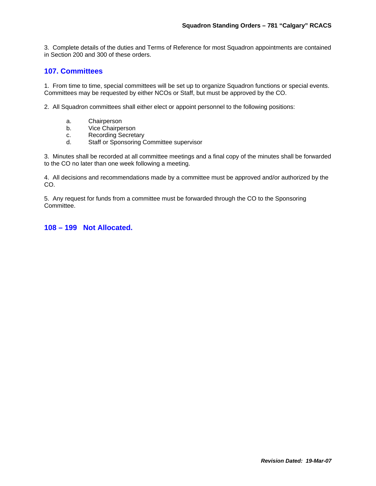3. Complete details of the duties and Terms of Reference for most Squadron appointments are contained in Section 200 and 300 of these orders.

# **107. Committees**

1. From time to time, special committees will be set up to organize Squadron functions or special events. Committees may be requested by either NCOs or Staff, but must be approved by the CO.

2. All Squadron committees shall either elect or appoint personnel to the following positions:

- a. Chairperson
- b. Vice Chairperson
- c. Recording Secretary
- d. Staff or Sponsoring Committee supervisor

3. Minutes shall be recorded at all committee meetings and a final copy of the minutes shall be forwarded to the CO no later than one week following a meeting.

4. All decisions and recommendations made by a committee must be approved and/or authorized by the CO.

5. Any request for funds from a committee must be forwarded through the CO to the Sponsoring Committee.

**108 – 199 Not Allocated.**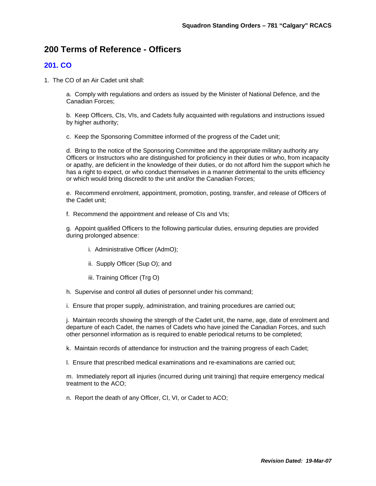# **200 Terms of Reference - Officers**

# **201. CO**

1. The CO of an Air Cadet unit shall:

a. Comply with regulations and orders as issued by the Minister of National Defence, and the Canadian Forces;

b. Keep Officers, CIs, VIs, and Cadets fully acquainted with regulations and instructions issued by higher authority;

c. Keep the Sponsoring Committee informed of the progress of the Cadet unit;

d. Bring to the notice of the Sponsoring Committee and the appropriate military authority any Officers or Instructors who are distinguished for proficiency in their duties or who, from incapacity or apathy, are deficient in the knowledge of their duties, or do not afford him the support which he has a right to expect, or who conduct themselves in a manner detrimental to the units efficiency or which would bring discredit to the unit and/or the Canadian Forces;

e. Recommend enrolment, appointment, promotion, posting, transfer, and release of Officers of the Cadet unit;

f. Recommend the appointment and release of CIs and VIs;

g. Appoint qualified Officers to the following particular duties, ensuring deputies are provided during prolonged absence:

- i. Administrative Officer (AdmO);
- ii. Supply Officer (Sup O); and
- iii. Training Officer (Trg O)
- h. Supervise and control all duties of personnel under his command;
- i. Ensure that proper supply, administration, and training procedures are carried out;

j. Maintain records showing the strength of the Cadet unit, the name, age, date of enrolment and departure of each Cadet, the names of Cadets who have joined the Canadian Forces, and such other personnel information as is required to enable periodical returns to be completed;

k. Maintain records of attendance for instruction and the training progress of each Cadet;

l. Ensure that prescribed medical examinations and re-examinations are carried out;

m. Immediately report all injuries (incurred during unit training) that require emergency medical treatment to the ACO;

n. Report the death of any Officer, CI, VI, or Cadet to ACO;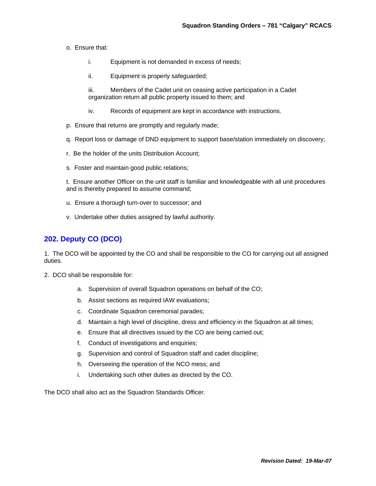#### o. Ensure that:

- i. Equipment is not demanded in excess of needs;
- ii. Equipment is properly safeguarded;

iii. Members of the Cadet unit on ceasing active participation in a Cadet organization return all public property issued to them; and

- iv. Records of equipment are kept in accordance with instructions.
- p. Ensure that returns are promptly and regularly made;
- q. Report loss or damage of DND equipment to support base/station immediately on discovery;
- r. Be the holder of the units Distribution Account;
- s. Foster and maintain good public relations;

t. Ensure another Officer on the unit staff is familiar and knowledgeable with all unit procedures and is thereby prepared to assume command;

- u. Ensure a thorough turn-over to successor; and
- v. Undertake other duties assigned by lawful authority.

# **202. Deputy CO (DCO)**

1. The DCO will be appointed by the CO and shall be responsible to the CO for carrying out all assigned duties.

- 2. DCO shall be responsible for:
	- a. Supervision of overall Squadron operations on behalf of the CO;
	- b. Assist sections as required IAW evaluations;
	- c. Coordinate Squadron ceremonial parades;
	- d. Maintain a high level of discipline, dress and efficiency in the Squadron at all times;
	- e. Ensure that all directives issued by the CO are being carried out;
	- f. Conduct of investigations and enquiries;
	- g. Supervision and control of Squadron staff and cadet discipline;
	- h. Overseeing the operation of the NCO mess; and
	- i. Undertaking such other duties as directed by the CO.

The DCO shall also act as the Squadron Standards Officer.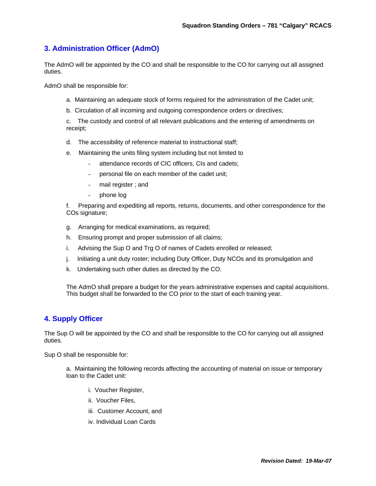# **3. Administration Officer (AdmO)**

The AdmO will be appointed by the CO and shall be responsible to the CO for carrying out all assigned duties.

AdmO shall be responsible for:

- a. Maintaining an adequate stock of forms required for the administration of the Cadet unit;
- b. Circulation of all incoming and outgoing correspondence orders or directives;

c. The custody and control of all relevant publications and the entering of amendments on receipt;

- d. The accessibility of reference material to instructional staff;
- e. Maintaining the units filing system including but not limited to
	- attendance records of CIC officers, CIs and cadets;
	- personal file on each member of the cadet unit;
	- mail register; and
	- phone log

f. Preparing and expediting all reports, returns, documents, and other correspondence for the COs signature;

- g. Arranging for medical examinations, as required;
- h. Ensuring prompt and proper submission of all claims;
- i. Advising the Sup O and Trg O of names of Cadets enrolled or released;
- j. Initiating a unit duty roster; including Duty Officer, Duty NCOs and its promulgation and
- k. Undertaking such other duties as directed by the CO.

The AdmO shall prepare a budget for the years administrative expenses and capital acquisitions. This budget shall be forwarded to the CO prior to the start of each training year.

# **4. Supply Officer**

The Sup O will be appointed by the CO and shall be responsible to the CO for carrying out all assigned duties.

Sup O shall be responsible for:

a. Maintaining the following records affecting the accounting of material on issue or temporary loan to the Cadet unit:

- i. Voucher Register,
- ii. Voucher Files,
- iii. Customer Account, and
- iv. Individual Loan Cards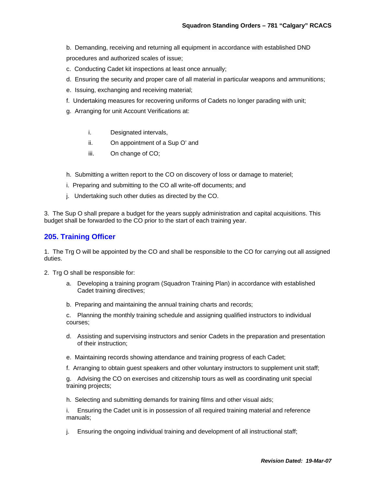- b. Demanding, receiving and returning all equipment in accordance with established DND procedures and authorized scales of issue;
- c. Conducting Cadet kit inspections at least once annually;
- d. Ensuring the security and proper care of all material in particular weapons and ammunitions;
- e. Issuing, exchanging and receiving material;
- f. Undertaking measures for recovering uniforms of Cadets no longer parading with unit;
- g. Arranging for unit Account Verifications at:
	- i. Designated intervals,
	- ii. On appointment of a Sup O' and
	- iii. On change of CO;
- h. Submitting a written report to the CO on discovery of loss or damage to materiel;
- i. Preparing and submitting to the CO all write-off documents; and
- j. Undertaking such other duties as directed by the CO.

3. The Sup O shall prepare a budget for the years supply administration and capital acquisitions. This budget shall be forwarded to the CO prior to the start of each training year.

#### **205. Training Officer**

1. The Trg O will be appointed by the CO and shall be responsible to the CO for carrying out all assigned duties.

- 2. Trg O shall be responsible for:
	- a. Developing a training program (Squadron Training Plan) in accordance with established Cadet training directives;
	- b. Preparing and maintaining the annual training charts and records;

c. Planning the monthly training schedule and assigning qualified instructors to individual courses;

- d. Assisting and supervising instructors and senior Cadets in the preparation and presentation of their instruction;
- e. Maintaining records showing attendance and training progress of each Cadet;
- f. Arranging to obtain guest speakers and other voluntary instructors to supplement unit staff;

g. Advising the CO on exercises and citizenship tours as well as coordinating unit special training projects;

h. Selecting and submitting demands for training films and other visual aids;

i. Ensuring the Cadet unit is in possession of all required training material and reference manuals;

j. Ensuring the ongoing individual training and development of all instructional staff;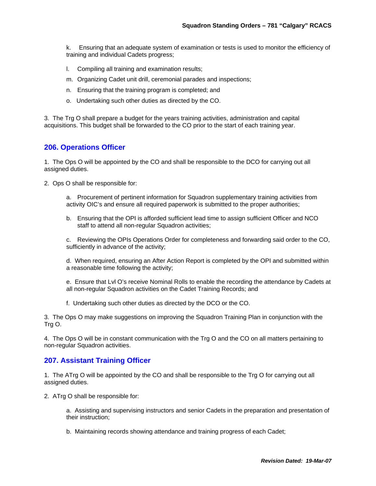k. Ensuring that an adequate system of examination or tests is used to monitor the efficiency of training and individual Cadets progress;

- l. Compiling all training and examination results;
- m. Organizing Cadet unit drill, ceremonial parades and inspections;
- n. Ensuring that the training program is completed; and
- o. Undertaking such other duties as directed by the CO.

3. The Trg O shall prepare a budget for the years training activities, administration and capital acquisitions. This budget shall be forwarded to the CO prior to the start of each training year.

#### **206. Operations Officer**

1. The Ops O will be appointed by the CO and shall be responsible to the DCO for carrying out all assigned duties.

2. Ops O shall be responsible for:

- a. Procurement of pertinent information for Squadron supplementary training activities from activity OIC's and ensure all required paperwork is submitted to the proper authorities;
- b. Ensuring that the OPI is afforded sufficient lead time to assign sufficient Officer and NCO staff to attend all non-regular Squadron activities;

c. Reviewing the OPIs Operations Order for completeness and forwarding said order to the CO, sufficiently in advance of the activity;

d. When required, ensuring an After Action Report is completed by the OPI and submitted within a reasonable time following the activity;

e. Ensure that Lvl O's receive Nominal Rolls to enable the recording the attendance by Cadets at all non-regular Squadron activities on the Cadet Training Records; and

f. Undertaking such other duties as directed by the DCO or the CO.

3. The Ops O may make suggestions on improving the Squadron Training Plan in conjunction with the Trg O.

4. The Ops O will be in constant communication with the Trg O and the CO on all matters pertaining to non-regular Squadron activities.

#### **207. Assistant Training Officer**

1. The ATrg O will be appointed by the CO and shall be responsible to the Trg O for carrying out all assigned duties.

2. ATrg O shall be responsible for:

a. Assisting and supervising instructors and senior Cadets in the preparation and presentation of their instruction;

b. Maintaining records showing attendance and training progress of each Cadet;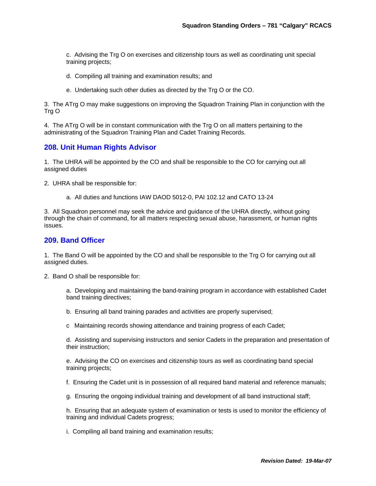c. Advising the Trg O on exercises and citizenship tours as well as coordinating unit special training projects;

- d. Compiling all training and examination results; and
- e. Undertaking such other duties as directed by the Trg O or the CO.

3. The ATrg O may make suggestions on improving the Squadron Training Plan in conjunction with the Trg O

4. The ATrg O will be in constant communication with the Trg O on all matters pertaining to the administrating of the Squadron Training Plan and Cadet Training Records.

#### **208. Unit Human Rights Advisor**

1. The UHRA will be appointed by the CO and shall be responsible to the CO for carrying out all assigned duties

2. UHRA shall be responsible for:

a. All duties and functions IAW DAOD 5012-0, PAI 102.12 and CATO 13-24

3. All Squadron personnel may seek the advice and guidance of the UHRA directly, without going through the chain of command, for all matters respecting sexual abuse, harassment, or human rights issues.

#### **209. Band Officer**

1. The Band O will be appointed by the CO and shall be responsible to the Trg O for carrying out all assigned duties.

2. Band O shall be responsible for:

a. Developing and maintaining the band-training program in accordance with established Cadet band training directives;

- b. Ensuring all band training parades and activities are properly supervised;
- c Maintaining records showing attendance and training progress of each Cadet;

d. Assisting and supervising instructors and senior Cadets in the preparation and presentation of their instruction;

e. Advising the CO on exercises and citizenship tours as well as coordinating band special training projects;

f. Ensuring the Cadet unit is in possession of all required band material and reference manuals;

g. Ensuring the ongoing individual training and development of all band instructional staff;

h. Ensuring that an adequate system of examination or tests is used to monitor the efficiency of training and individual Cadets progress;

i. Compiling all band training and examination results;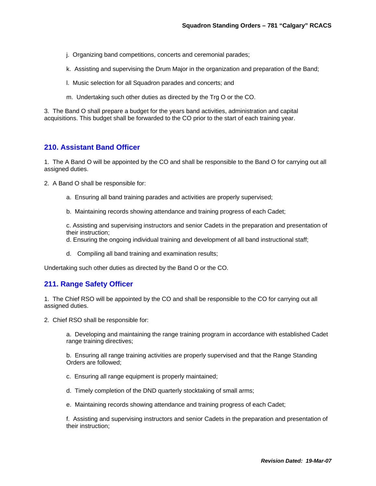- j. Organizing band competitions, concerts and ceremonial parades;
- k. Assisting and supervising the Drum Major in the organization and preparation of the Band;
- l. Music selection for all Squadron parades and concerts; and
- m. Undertaking such other duties as directed by the Trg O or the CO.

3. The Band O shall prepare a budget for the years band activities, administration and capital acquisitions. This budget shall be forwarded to the CO prior to the start of each training year.

#### **210. Assistant Band Officer**

1. The A Band O will be appointed by the CO and shall be responsible to the Band O for carrying out all assigned duties.

- 2. A Band O shall be responsible for:
	- a. Ensuring all band training parades and activities are properly supervised;
	- b. Maintaining records showing attendance and training progress of each Cadet;

c. Assisting and supervising instructors and senior Cadets in the preparation and presentation of their instruction;

d. Ensuring the ongoing individual training and development of all band instructional staff;

d. Compiling all band training and examination results;

Undertaking such other duties as directed by the Band O or the CO.

#### **211. Range Safety Officer**

1. The Chief RSO will be appointed by the CO and shall be responsible to the CO for carrying out all assigned duties.

2. Chief RSO shall be responsible for:

a. Developing and maintaining the range training program in accordance with established Cadet range training directives;

b. Ensuring all range training activities are properly supervised and that the Range Standing Orders are followed;

- c. Ensuring all range equipment is properly maintained;
- d. Timely completion of the DND quarterly stocktaking of small arms;
- e. Maintaining records showing attendance and training progress of each Cadet;

f. Assisting and supervising instructors and senior Cadets in the preparation and presentation of their instruction;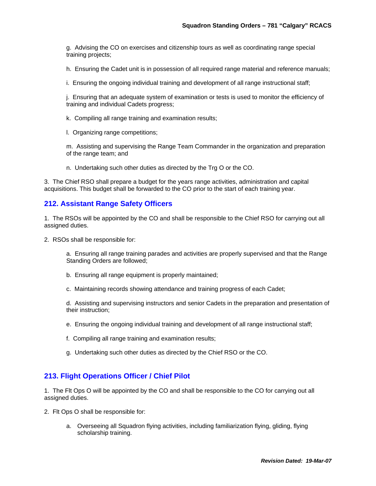g. Advising the CO on exercises and citizenship tours as well as coordinating range special training projects;

h. Ensuring the Cadet unit is in possession of all required range material and reference manuals;

i. Ensuring the ongoing individual training and development of all range instructional staff;

j. Ensuring that an adequate system of examination or tests is used to monitor the efficiency of training and individual Cadets progress;

- k. Compiling all range training and examination results;
- l. Organizing range competitions;

m. Assisting and supervising the Range Team Commander in the organization and preparation of the range team; and

n. Undertaking such other duties as directed by the Trg O or the CO.

3. The Chief RSO shall prepare a budget for the years range activities, administration and capital acquisitions. This budget shall be forwarded to the CO prior to the start of each training year.

#### **212. Assistant Range Safety Officers**

1. The RSOs will be appointed by the CO and shall be responsible to the Chief RSO for carrying out all assigned duties.

2. RSOs shall be responsible for:

a. Ensuring all range training parades and activities are properly supervised and that the Range Standing Orders are followed;

- b. Ensuring all range equipment is properly maintained;
- c. Maintaining records showing attendance and training progress of each Cadet;

d. Assisting and supervising instructors and senior Cadets in the preparation and presentation of their instruction;

- e. Ensuring the ongoing individual training and development of all range instructional staff;
- f. Compiling all range training and examination results;
- g. Undertaking such other duties as directed by the Chief RSO or the CO.

#### **213. Flight Operations Officer / Chief Pilot**

1. The Flt Ops O will be appointed by the CO and shall be responsible to the CO for carrying out all assigned duties.

- 2. Flt Ops O shall be responsible for:
	- a. Overseeing all Squadron flying activities, including familiarization flying, gliding, flying scholarship training.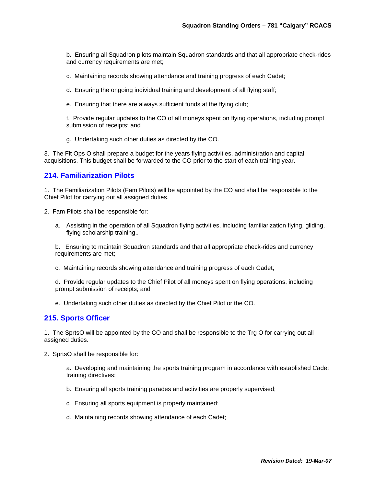b. Ensuring all Squadron pilots maintain Squadron standards and that all appropriate check-rides and currency requirements are met;

c. Maintaining records showing attendance and training progress of each Cadet;

- d. Ensuring the ongoing individual training and development of all flying staff;
- e. Ensuring that there are always sufficient funds at the flying club;

f. Provide regular updates to the CO of all moneys spent on flying operations, including prompt submission of receipts; and

g. Undertaking such other duties as directed by the CO.

3. The Flt Ops O shall prepare a budget for the years flying activities, administration and capital acquisitions. This budget shall be forwarded to the CO prior to the start of each training year.

#### **214. Familiarization Pilots**

1. The Familiarization Pilots (Fam Pilots) will be appointed by the CO and shall be responsible to the Chief Pilot for carrying out all assigned duties.

2. Fam Pilots shall be responsible for:

a. Assisting in the operation of all Squadron flying activities, including familiarization flying, gliding, flying scholarship training,.

b. Ensuring to maintain Squadron standards and that all appropriate check-rides and currency requirements are met;

c. Maintaining records showing attendance and training progress of each Cadet;

d. Provide regular updates to the Chief Pilot of all moneys spent on flying operations, including prompt submission of receipts; and

e. Undertaking such other duties as directed by the Chief Pilot or the CO.

#### **215. Sports Officer**

1. The SprtsO will be appointed by the CO and shall be responsible to the Trg O for carrying out all assigned duties.

2. SprtsO shall be responsible for:

a. Developing and maintaining the sports training program in accordance with established Cadet training directives;

- b. Ensuring all sports training parades and activities are properly supervised;
- c. Ensuring all sports equipment is properly maintained;
- d. Maintaining records showing attendance of each Cadet;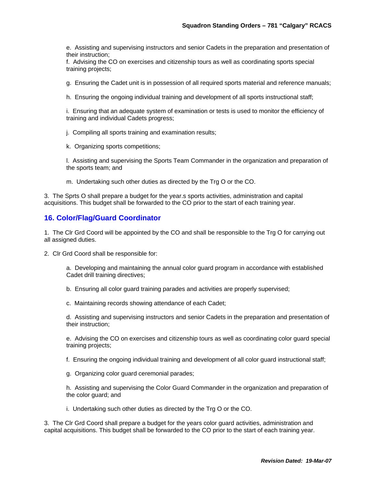e. Assisting and supervising instructors and senior Cadets in the preparation and presentation of their instruction;

f. Advising the CO on exercises and citizenship tours as well as coordinating sports special training projects;

g. Ensuring the Cadet unit is in possession of all required sports material and reference manuals;

h. Ensuring the ongoing individual training and development of all sports instructional staff;

i. Ensuring that an adequate system of examination or tests is used to monitor the efficiency of training and individual Cadets progress;

- j. Compiling all sports training and examination results;
- k. Organizing sports competitions;

l. Assisting and supervising the Sports Team Commander in the organization and preparation of the sports team; and

m. Undertaking such other duties as directed by the Trg O or the CO.

3. The Sprts O shall prepare a budget for the year.s sports activities, administration and capital acquisitions. This budget shall be forwarded to the CO prior to the start of each training year.

#### **16. Color/Flag/Guard Coordinator**

1. The Clr Grd Coord will be appointed by the CO and shall be responsible to the Trg O for carrying out all assigned duties.

2. Clr Grd Coord shall be responsible for:

a. Developing and maintaining the annual color guard program in accordance with established Cadet drill training directives;

- b. Ensuring all color guard training parades and activities are properly supervised;
- c. Maintaining records showing attendance of each Cadet;

d. Assisting and supervising instructors and senior Cadets in the preparation and presentation of their instruction;

e. Advising the CO on exercises and citizenship tours as well as coordinating color guard special training projects;

- f. Ensuring the ongoing individual training and development of all color guard instructional staff;
- g. Organizing color guard ceremonial parades;

h. Assisting and supervising the Color Guard Commander in the organization and preparation of the color guard; and

i. Undertaking such other duties as directed by the Trg O or the CO.

3. The Clr Grd Coord shall prepare a budget for the years color guard activities, administration and capital acquisitions. This budget shall be forwarded to the CO prior to the start of each training year.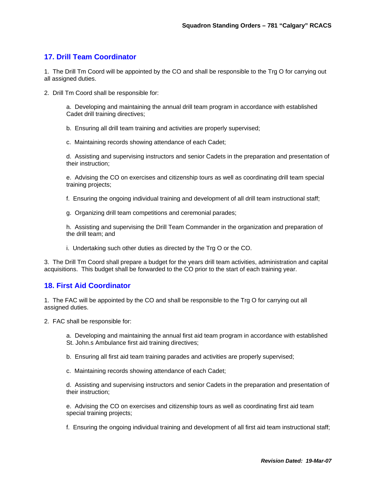# **17. Drill Team Coordinator**

1. The Drill Tm Coord will be appointed by the CO and shall be responsible to the Trg O for carrying out all assigned duties.

2. Drill Tm Coord shall be responsible for:

a. Developing and maintaining the annual drill team program in accordance with established Cadet drill training directives;

b. Ensuring all drill team training and activities are properly supervised;

c. Maintaining records showing attendance of each Cadet;

d. Assisting and supervising instructors and senior Cadets in the preparation and presentation of their instruction;

e. Advising the CO on exercises and citizenship tours as well as coordinating drill team special training projects;

f. Ensuring the ongoing individual training and development of all drill team instructional staff;

g. Organizing drill team competitions and ceremonial parades;

h. Assisting and supervising the Drill Team Commander in the organization and preparation of the drill team; and

i. Undertaking such other duties as directed by the Trg O or the CO.

3. The Drill Tm Coord shall prepare a budget for the years drill team activities, administration and capital acquisitions. This budget shall be forwarded to the CO prior to the start of each training year.

#### **18. First Aid Coordinator**

1. The FAC will be appointed by the CO and shall be responsible to the Trg O for carrying out all assigned duties.

2. FAC shall be responsible for:

a. Developing and maintaining the annual first aid team program in accordance with established St. John.s Ambulance first aid training directives;

- b. Ensuring all first aid team training parades and activities are properly supervised;
- c. Maintaining records showing attendance of each Cadet;

d. Assisting and supervising instructors and senior Cadets in the preparation and presentation of their instruction;

e. Advising the CO on exercises and citizenship tours as well as coordinating first aid team special training projects;

f. Ensuring the ongoing individual training and development of all first aid team instructional staff;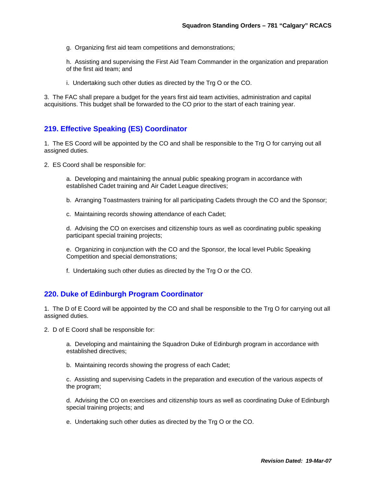g. Organizing first aid team competitions and demonstrations;

h. Assisting and supervising the First Aid Team Commander in the organization and preparation of the first aid team; and

i. Undertaking such other duties as directed by the Trg O or the CO.

3. The FAC shall prepare a budget for the years first aid team activities, administration and capital acquisitions. This budget shall be forwarded to the CO prior to the start of each training year.

# **219. Effective Speaking (ES) Coordinator**

1. The ES Coord will be appointed by the CO and shall be responsible to the Trg O for carrying out all assigned duties.

2. ES Coord shall be responsible for:

a. Developing and maintaining the annual public speaking program in accordance with established Cadet training and Air Cadet League directives;

- b. Arranging Toastmasters training for all participating Cadets through the CO and the Sponsor;
- c. Maintaining records showing attendance of each Cadet;

d. Advising the CO on exercises and citizenship tours as well as coordinating public speaking participant special training projects;

e. Organizing in conjunction with the CO and the Sponsor, the local level Public Speaking Competition and special demonstrations;

f. Undertaking such other duties as directed by the Trg O or the CO.

#### **220. Duke of Edinburgh Program Coordinator**

1. The D of E Coord will be appointed by the CO and shall be responsible to the Trg O for carrying out all assigned duties.

2. D of E Coord shall be responsible for:

a. Developing and maintaining the Squadron Duke of Edinburgh program in accordance with established directives;

b. Maintaining records showing the progress of each Cadet;

c. Assisting and supervising Cadets in the preparation and execution of the various aspects of the program;

d. Advising the CO on exercises and citizenship tours as well as coordinating Duke of Edinburgh special training projects; and

e. Undertaking such other duties as directed by the Trg O or the CO.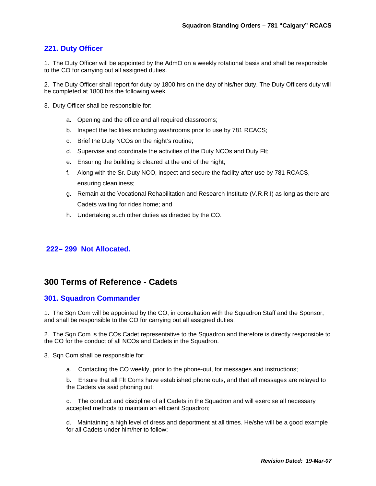# **221. Duty Officer**

1. The Duty Officer will be appointed by the AdmO on a weekly rotational basis and shall be responsible to the CO for carrying out all assigned duties.

2. The Duty Officer shall report for duty by 1800 hrs on the day of his/her duty. The Duty Officers duty will be completed at 1800 hrs the following week.

- 3. Duty Officer shall be responsible for:
	- a. Opening and the office and all required classrooms;
	- b. Inspect the facilities including washrooms prior to use by 781 RCACS;
	- c. Brief the Duty NCOs on the night's routine;
	- d. Supervise and coordinate the activities of the Duty NCOs and Duty Flt;
	- e. Ensuring the building is cleared at the end of the night;
	- f. Along with the Sr. Duty NCO, inspect and secure the facility after use by 781 RCACS, ensuring cleanliness;
	- g. Remain at the Vocational Rehabilitation and Research Institute (V.R.R.I) as long as there are Cadets waiting for rides home; and
	- h. Undertaking such other duties as directed by the CO.

#### **222– 299 Not Allocated.**

# **300 Terms of Reference - Cadets**

#### **301. Squadron Commander**

1. The Sqn Com will be appointed by the CO, in consultation with the Squadron Staff and the Sponsor, and shall be responsible to the CO for carrying out all assigned duties.

2. The Sqn Com is the COs Cadet representative to the Squadron and therefore is directly responsible to the CO for the conduct of all NCOs and Cadets in the Squadron.

3. Sqn Com shall be responsible for:

a. Contacting the CO weekly, prior to the phone-out, for messages and instructions;

b. Ensure that all Flt Coms have established phone outs, and that all messages are relayed to the Cadets via said phoning out;

c. The conduct and discipline of all Cadets in the Squadron and will exercise all necessary accepted methods to maintain an efficient Squadron;

d. Maintaining a high level of dress and deportment at all times. He/she will be a good example for all Cadets under him/her to follow;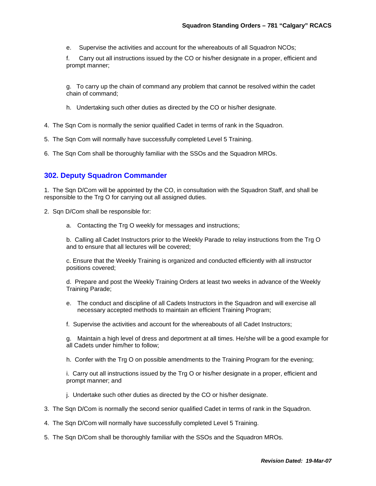e. Supervise the activities and account for the whereabouts of all Squadron NCOs;

f. Carry out all instructions issued by the CO or his/her designate in a proper, efficient and prompt manner;

g. To carry up the chain of command any problem that cannot be resolved within the cadet chain of command;

h. Undertaking such other duties as directed by the CO or his/her designate.

- 4. The Sqn Com is normally the senior qualified Cadet in terms of rank in the Squadron.
- 5. The Sqn Com will normally have successfully completed Level 5 Training.
- 6. The Sqn Com shall be thoroughly familiar with the SSOs and the Squadron MROs.

# **302. Deputy Squadron Commander**

1. The Sqn D/Com will be appointed by the CO, in consultation with the Squadron Staff, and shall be responsible to the Trg O for carrying out all assigned duties.

- 2. Sqn D/Com shall be responsible for:
	- a. Contacting the Trg O weekly for messages and instructions;

b. Calling all Cadet Instructors prior to the Weekly Parade to relay instructions from the Trg O and to ensure that all lectures will be covered;

c. Ensure that the Weekly Training is organized and conducted efficiently with all instructor positions covered;

d. Prepare and post the Weekly Training Orders at least two weeks in advance of the Weekly Training Parade;

- e. The conduct and discipline of all Cadets Instructors in the Squadron and will exercise all necessary accepted methods to maintain an efficient Training Program;
- f. Supervise the activities and account for the whereabouts of all Cadet Instructors;

g. Maintain a high level of dress and deportment at all times. He/she will be a good example for all Cadets under him/her to follow;

h. Confer with the Trg O on possible amendments to the Training Program for the evening;

i. Carry out all instructions issued by the Trg O or his/her designate in a proper, efficient and prompt manner; and

- j. Undertake such other duties as directed by the CO or his/her designate.
- 3. The Sqn D/Com is normally the second senior qualified Cadet in terms of rank in the Squadron.
- 4. The Sqn D/Com will normally have successfully completed Level 5 Training.
- 5. The Sqn D/Com shall be thoroughly familiar with the SSOs and the Squadron MROs.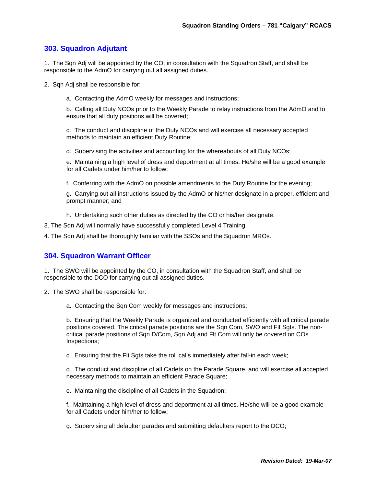# **303. Squadron Adjutant**

1. The Sqn Adj will be appointed by the CO, in consultation with the Squadron Staff, and shall be responsible to the AdmO for carrying out all assigned duties.

2. Sqn Adj shall be responsible for:

a. Contacting the AdmO weekly for messages and instructions;

b. Calling all Duty NCOs prior to the Weekly Parade to relay instructions from the AdmO and to ensure that all duty positions will be covered;

c. The conduct and discipline of the Duty NCOs and will exercise all necessary accepted methods to maintain an efficient Duty Routine;

d. Supervising the activities and accounting for the whereabouts of all Duty NCOs;

e. Maintaining a high level of dress and deportment at all times. He/she will be a good example for all Cadets under him/her to follow;

f. Conferring with the AdmO on possible amendments to the Duty Routine for the evening;

g. Carrying out all instructions issued by the AdmO or his/her designate in a proper, efficient and prompt manner; and

- h. Undertaking such other duties as directed by the CO or his/her designate.
- 3. The Sqn Adj will normally have successfully completed Level 4 Training
- 4. The Sqn Adj shall be thoroughly familiar with the SSOs and the Squadron MROs.

#### **304. Squadron Warrant Officer**

1. The SWO will be appointed by the CO, in consultation with the Squadron Staff, and shall be responsible to the DCO for carrying out all assigned duties.

- 2. The SWO shall be responsible for:
	- a. Contacting the Sqn Com weekly for messages and instructions;

b. Ensuring that the Weekly Parade is organized and conducted efficiently with all critical parade positions covered. The critical parade positions are the Sqn Com, SWO and Flt Sgts. The noncritical parade positions of Sqn D/Com, Sqn Adj and Flt Com will only be covered on COs Inspections;

c. Ensuring that the Flt Sgts take the roll calls immediately after fall-in each week;

d. The conduct and discipline of all Cadets on the Parade Square, and will exercise all accepted necessary methods to maintain an efficient Parade Square;

e. Maintaining the discipline of all Cadets in the Squadron;

f. Maintaining a high level of dress and deportment at all times. He/she will be a good example for all Cadets under him/her to follow;

g. Supervising all defaulter parades and submitting defaulters report to the DCO;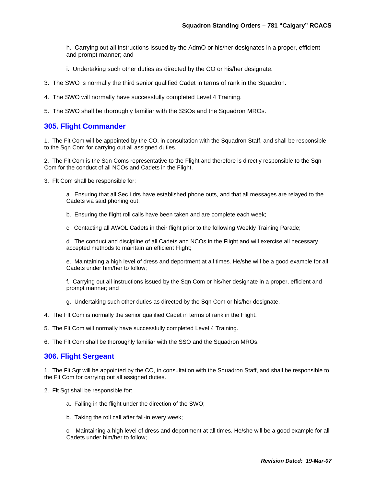h. Carrying out all instructions issued by the AdmO or his/her designates in a proper, efficient and prompt manner; and

- i. Undertaking such other duties as directed by the CO or his/her designate.
- 3. The SWO is normally the third senior qualified Cadet in terms of rank in the Squadron.
- 4. The SWO will normally have successfully completed Level 4 Training.
- 5. The SWO shall be thoroughly familiar with the SSOs and the Squadron MROs.

# **305. Flight Commander**

1. The Flt Com will be appointed by the CO, in consultation with the Squadron Staff, and shall be responsible to the Sqn Com for carrying out all assigned duties.

2. The Flt Com is the Sqn Coms representative to the Flight and therefore is directly responsible to the Sqn Com for the conduct of all NCOs and Cadets in the Flight.

3. Flt Com shall be responsible for:

a. Ensuring that all Sec Ldrs have established phone outs, and that all messages are relayed to the Cadets via said phoning out;

b. Ensuring the flight roll calls have been taken and are complete each week;

c. Contacting all AWOL Cadets in their flight prior to the following Weekly Training Parade;

d. The conduct and discipline of all Cadets and NCOs in the Flight and will exercise all necessary accepted methods to maintain an efficient Flight;

e. Maintaining a high level of dress and deportment at all times. He/she will be a good example for all Cadets under him/her to follow;

f. Carrying out all instructions issued by the Sqn Com or his/her designate in a proper, efficient and prompt manner; and

- g. Undertaking such other duties as directed by the Sqn Com or his/her designate.
- 4. The Flt Com is normally the senior qualified Cadet in terms of rank in the Flight.
- 5. The Flt Com will normally have successfully completed Level 4 Training.

6. The Flt Com shall be thoroughly familiar with the SSO and the Squadron MROs.

#### **306. Flight Sergeant**

1. The Flt Sgt will be appointed by the CO, in consultation with the Squadron Staff, and shall be responsible to the Flt Com for carrying out all assigned duties.

- 2. Flt Sgt shall be responsible for:
	- a. Falling in the flight under the direction of the SWO;
	- b. Taking the roll call after fall-in every week;

c. Maintaining a high level of dress and deportment at all times. He/she will be a good example for all Cadets under him/her to follow;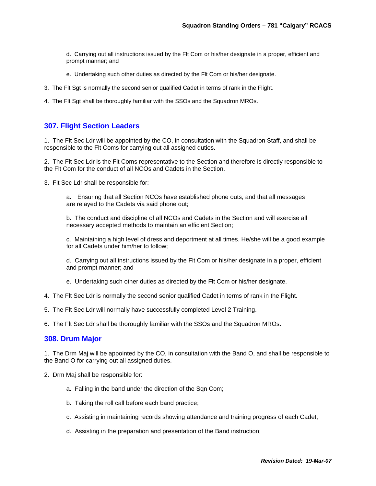d. Carrying out all instructions issued by the Flt Com or his/her designate in a proper, efficient and prompt manner; and

- e. Undertaking such other duties as directed by the Flt Com or his/her designate.
- 3. The Flt Sgt is normally the second senior qualified Cadet in terms of rank in the Flight.
- 4. The Flt Sgt shall be thoroughly familiar with the SSOs and the Squadron MROs.

#### **307. Flight Section Leaders**

1. The Flt Sec Ldr will be appointed by the CO, in consultation with the Squadron Staff, and shall be responsible to the Flt Coms for carrying out all assigned duties.

2. The Flt Sec Ldr is the Flt Coms representative to the Section and therefore is directly responsible to the Flt Com for the conduct of all NCOs and Cadets in the Section.

3. Flt Sec Ldr shall be responsible for:

a. Ensuring that all Section NCOs have established phone outs, and that all messages are relayed to the Cadets via said phone out;

b. The conduct and discipline of all NCOs and Cadets in the Section and will exercise all necessary accepted methods to maintain an efficient Section;

c. Maintaining a high level of dress and deportment at all times. He/she will be a good example for all Cadets under him/her to follow;

d. Carrying out all instructions issued by the Flt Com or his/her designate in a proper, efficient and prompt manner; and

- e. Undertaking such other duties as directed by the Flt Com or his/her designate.
- 4. The Flt Sec Ldr is normally the second senior qualified Cadet in terms of rank in the Flight.
- 5. The Flt Sec Ldr will normally have successfully completed Level 2 Training.

6. The Flt Sec Ldr shall be thoroughly familiar with the SSOs and the Squadron MROs.

#### **308. Drum Major**

1. The Drm Maj will be appointed by the CO, in consultation with the Band O, and shall be responsible to the Band O for carrying out all assigned duties.

- 2. Drm Maj shall be responsible for:
	- a. Falling in the band under the direction of the Sqn Com;
	- b. Taking the roll call before each band practice;
	- c. Assisting in maintaining records showing attendance and training progress of each Cadet;
	- d. Assisting in the preparation and presentation of the Band instruction;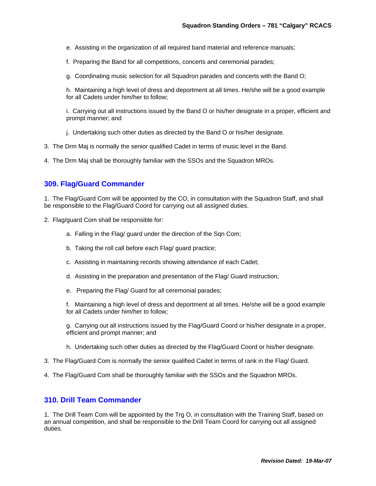- e. Assisting in the organization of all required band material and reference manuals;
- f. Preparing the Band for all competitions, concerts and ceremonial parades;
- g. Coordinating music selection for all Squadron parades and concerts with the Band O;

h. Maintaining a high level of dress and deportment at all times. He/she will be a good example for all Cadets under him/her to follow;

i. Carrying out all instructions issued by the Band O or his/her designate in a proper, efficient and prompt manner; and

- j. Undertaking such other duties as directed by the Band O or his/her designate.
- 3. The Drm Maj is normally the senior qualified Cadet in terms of music level in the Band.

4. The Drm Maj shall be thoroughly familiar with the SSOs and the Squadron MROs.

#### **309. Flag/Guard Commander**

1. The Flag/Guard Com will be appointed by the CO, in consultation with the Squadron Staff, and shall be responsible to the Flag/Guard Coord for carrying out all assigned duties.

- 2. Flag/guard Com shall be responsible for:
	- a. Falling in the Flag/ guard under the direction of the Sqn Com;
	- b. Taking the roll call before each Flag/ guard practice;
	- c. Assisting in maintaining records showing attendance of each Cadet;
	- d. Assisting in the preparation and presentation of the Flag/ Guard instruction;
	- e. Preparing the Flag/ Guard for all ceremonial parades;

f. Maintaining a high level of dress and deportment at all times. He/she will be a good example for all Cadets under him/her to follow;

g. Carrying out all instructions issued by the Flag/Guard Coord or his/her designate in a proper, efficient and prompt manner; and

- h. Undertaking such other duties as directed by the Flag/Guard Coord or his/her designate.
- 3. The Flag/Guard Com is normally the senior qualified Cadet in terms of rank in the Flag/ Guard.
- 4. The Flag/Guard Com shall be thoroughly familiar with the SSOs and the Squadron MROs.

#### **310. Drill Team Commander**

1. The Drill Team Com will be appointed by the Trg O, in consultation with the Training Staff, based on an annual competition, and shall be responsible to the Drill Team Coord for carrying out all assigned duties.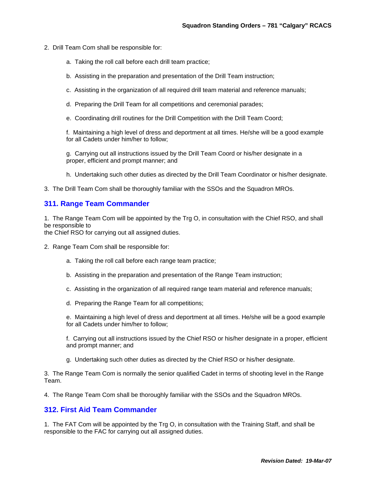- 2. Drill Team Com shall be responsible for:
	- a. Taking the roll call before each drill team practice;
	- b. Assisting in the preparation and presentation of the Drill Team instruction;
	- c. Assisting in the organization of all required drill team material and reference manuals;
	- d. Preparing the Drill Team for all competitions and ceremonial parades;
	- e. Coordinating drill routines for the Drill Competition with the Drill Team Coord;

f. Maintaining a high level of dress and deportment at all times. He/she will be a good example for all Cadets under him/her to follow;

g. Carrying out all instructions issued by the Drill Team Coord or his/her designate in a proper, efficient and prompt manner; and

- h. Undertaking such other duties as directed by the Drill Team Coordinator or his/her designate.
- 3. The Drill Team Com shall be thoroughly familiar with the SSOs and the Squadron MROs.

#### **311. Range Team Commander**

1. The Range Team Com will be appointed by the Trg O, in consultation with the Chief RSO, and shall be responsible to

the Chief RSO for carrying out all assigned duties.

- 2. Range Team Com shall be responsible for:
	- a. Taking the roll call before each range team practice;
	- b. Assisting in the preparation and presentation of the Range Team instruction;
	- c. Assisting in the organization of all required range team material and reference manuals;
	- d. Preparing the Range Team for all competitions;

e. Maintaining a high level of dress and deportment at all times. He/she will be a good example for all Cadets under him/her to follow;

f. Carrying out all instructions issued by the Chief RSO or his/her designate in a proper, efficient and prompt manner; and

g. Undertaking such other duties as directed by the Chief RSO or his/her designate.

3. The Range Team Com is normally the senior qualified Cadet in terms of shooting level in the Range Team.

4. The Range Team Com shall be thoroughly familiar with the SSOs and the Squadron MROs.

#### **312. First Aid Team Commander**

1. The FAT Com will be appointed by the Trg O, in consultation with the Training Staff, and shall be responsible to the FAC for carrying out all assigned duties.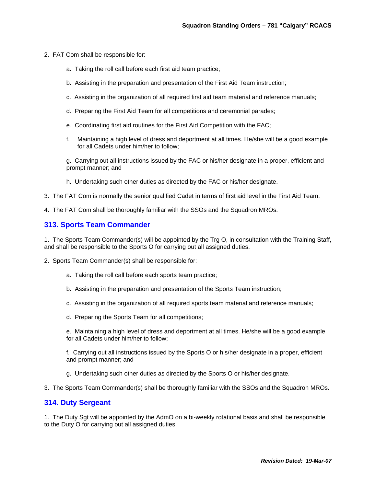- 2. FAT Com shall be responsible for:
	- a. Taking the roll call before each first aid team practice;
	- b. Assisting in the preparation and presentation of the First Aid Team instruction;
	- c. Assisting in the organization of all required first aid team material and reference manuals;
	- d. Preparing the First Aid Team for all competitions and ceremonial parades;
	- e. Coordinating first aid routines for the First Aid Competition with the FAC;
	- f. Maintaining a high level of dress and deportment at all times. He/she will be a good example for all Cadets under him/her to follow;

g. Carrying out all instructions issued by the FAC or his/her designate in a proper, efficient and prompt manner; and

- h. Undertaking such other duties as directed by the FAC or his/her designate.
- 3. The FAT Com is normally the senior qualified Cadet in terms of first aid level in the First Aid Team.
- 4. The FAT Com shall be thoroughly familiar with the SSOs and the Squadron MROs.

#### **313. Sports Team Commander**

1. The Sports Team Commander(s) will be appointed by the Trg O, in consultation with the Training Staff, and shall be responsible to the Sports O for carrying out all assigned duties.

- 2. Sports Team Commander(s) shall be responsible for:
	- a. Taking the roll call before each sports team practice;
	- b. Assisting in the preparation and presentation of the Sports Team instruction;
	- c. Assisting in the organization of all required sports team material and reference manuals;
	- d. Preparing the Sports Team for all competitions;

e. Maintaining a high level of dress and deportment at all times. He/she will be a good example for all Cadets under him/her to follow;

f. Carrying out all instructions issued by the Sports O or his/her designate in a proper, efficient and prompt manner; and

- g. Undertaking such other duties as directed by the Sports O or his/her designate.
- 3. The Sports Team Commander(s) shall be thoroughly familiar with the SSOs and the Squadron MROs.

#### **314. Duty Sergeant**

1. The Duty Sgt will be appointed by the AdmO on a bi-weekly rotational basis and shall be responsible to the Duty O for carrying out all assigned duties.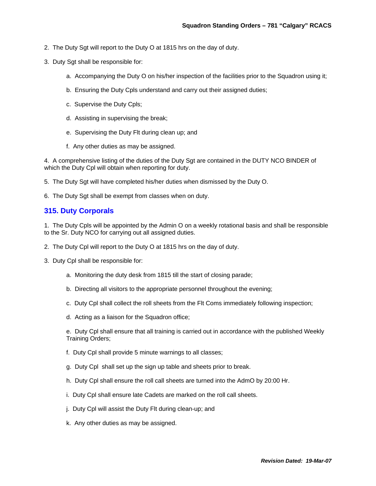- 2. The Duty Sgt will report to the Duty O at 1815 hrs on the day of duty.
- 3. Duty Sgt shall be responsible for:
	- a. Accompanying the Duty O on his/her inspection of the facilities prior to the Squadron using it;
	- b. Ensuring the Duty Cpls understand and carry out their assigned duties;
	- c. Supervise the Duty Cpls;
	- d. Assisting in supervising the break;
	- e. Supervising the Duty Flt during clean up; and
	- f. Any other duties as may be assigned.

4. A comprehensive listing of the duties of the Duty Sgt are contained in the DUTY NCO BINDER of which the Duty Cpl will obtain when reporting for duty.

5. The Duty Sgt will have completed his/her duties when dismissed by the Duty O.

6. The Duty Sgt shall be exempt from classes when on duty.

# **315. Duty Corporals**

1. The Duty Cpls will be appointed by the Admin O on a weekly rotational basis and shall be responsible to the Sr. Duty NCO for carrying out all assigned duties.

- 2. The Duty Cpl will report to the Duty O at 1815 hrs on the day of duty.
- 3. Duty Cpl shall be responsible for:
	- a. Monitoring the duty desk from 1815 till the start of closing parade;
	- b. Directing all visitors to the appropriate personnel throughout the evening;
	- c. Duty Cpl shall collect the roll sheets from the Flt Coms immediately following inspection;
	- d. Acting as a liaison for the Squadron office;

e. Duty Cpl shall ensure that all training is carried out in accordance with the published Weekly Training Orders;

- f. Duty Cpl shall provide 5 minute warnings to all classes;
- g. Duty Cpl shall set up the sign up table and sheets prior to break.
- h. Duty Cpl shall ensure the roll call sheets are turned into the AdmO by 20:00 Hr.
- i. Duty Cpl shall ensure late Cadets are marked on the roll call sheets.
- j. Duty Cpl will assist the Duty Flt during clean-up; and
- k. Any other duties as may be assigned.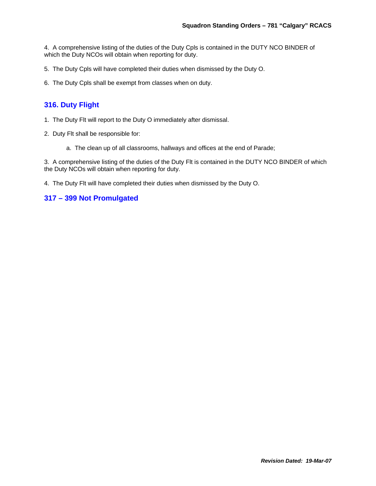4. A comprehensive listing of the duties of the Duty Cpls is contained in the DUTY NCO BINDER of which the Duty NCOs will obtain when reporting for duty.

5. The Duty Cpls will have completed their duties when dismissed by the Duty O.

6. The Duty Cpls shall be exempt from classes when on duty.

# **316. Duty Flight**

- 1. The Duty Flt will report to the Duty O immediately after dismissal.
- 2. Duty Flt shall be responsible for:
	- a. The clean up of all classrooms, hallways and offices at the end of Parade;

3. A comprehensive listing of the duties of the Duty Flt is contained in the DUTY NCO BINDER of which the Duty NCOs will obtain when reporting for duty.

4. The Duty Flt will have completed their duties when dismissed by the Duty O.

# **317 – 399 Not Promulgated**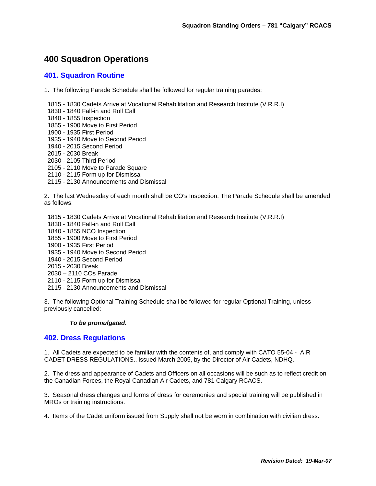# **400 Squadron Operations**

# **401. Squadron Routine**

1. The following Parade Schedule shall be followed for regular training parades:

1815 - 1830 Cadets Arrive at Vocational Rehabilitation and Research Institute (V.R.R.I)

- 1830 1840 Fall-in and Roll Call
- 1840 1855 Inspection
- 1855 1900 Move to First Period
- 1900 1935 First Period
- 1935 1940 Move to Second Period
- 1940 2015 Second Period
- 2015 2030 Break
- 2030 2105 Third Period
- 2105 2110 Move to Parade Square
- 2110 2115 Form up for Dismissal
- 2115 2130 Announcements and Dismissal

2. The last Wednesday of each month shall be CO's Inspection. The Parade Schedule shall be amended as follows:

- 1815 1830 Cadets Arrive at Vocational Rehabilitation and Research Institute (V.R.R.I)
- 1830 1840 Fall-in and Roll Call
- 1840 1855 NCO Inspection
- 1855 1900 Move to First Period
- 1900 1935 First Period
- 1935 1940 Move to Second Period
- 1940 2015 Second Period
- 2015 2030 Break
- 2030 2110 COs Parade
- 2110 2115 Form up for Dismissal
- 2115 2130 Announcements and Dismissal

3. The following Optional Training Schedule shall be followed for regular Optional Training, unless previously cancelled:

#### *To be promulgated.*

#### **402. Dress Regulations**

1. All Cadets are expected to be familiar with the contents of, and comply with CATO 55-04 - AIR CADET DRESS REGULATIONS., issued March 2005, by the Director of Air Cadets, NDHQ.

2. The dress and appearance of Cadets and Officers on all occasions will be such as to reflect credit on the Canadian Forces, the Royal Canadian Air Cadets, and 781 Calgary RCACS.

3. Seasonal dress changes and forms of dress for ceremonies and special training will be published in MROs or training instructions.

4. Items of the Cadet uniform issued from Supply shall not be worn in combination with civilian dress.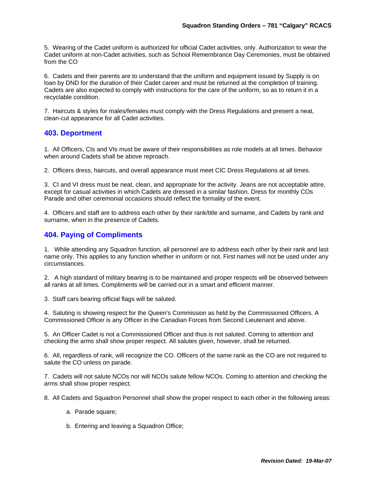5. Wearing of the Cadet uniform is authorized for official Cadet activities, only. Authorization to wear the Cadet uniform at non-Cadet activities, such as School Remembrance Day Ceremonies, must be obtained from the CO

6. Cadets and their parents are to understand that the uniform and equipment issued by Supply is on loan by DND for the duration of their Cadet career and must be returned at the completion of training. Cadets are also expected to comply with instructions for the care of the uniform, so as to return it in a recyclable condition.

7. Haircuts & styles for males/females must comply with the Dress Regulations and present a neat, clean-cut appearance for all Cadet activities.

# **403. Deportment**

1. All Officers, CIs and VIs must be aware of their responsibilities as role models at all times. Behavior when around Cadets shall be above reproach.

2. Officers dress, haircuts, and overall appearance must meet CIC Dress Regulations at all times.

3. CI and VI dress must be neat, clean, and appropriate for the activity. Jeans are not acceptable attire, except for casual activities in which Cadets are dressed in a similar fashion. Dress for monthly COs Parade and other ceremonial occasions should reflect the formality of the event.

4. Officers and staff are to address each other by their rank/title and surname, and Cadets by rank and surname, when in the presence of Cadets.

# **404. Paying of Compliments**

1. While attending any Squadron function, all personnel are to address each other by their rank and last name only. This applies to any function whether in uniform or not. First names will not be used under any circumstances.

2. A high standard of military bearing is to be maintained and proper respects will be observed between all ranks at all times. Compliments will be carried out in a smart and efficient manner.

3. Staff cars bearing official flags will be saluted.

4. Saluting is showing respect for the Queen's Commission as held by the Commissioned Officers. A Commissioned Officer is any Officer in the Canadian Forces from Second Lieutenant and above.

5. An Officer Cadet is not a Commissioned Officer and thus is not saluted. Coming to attention and checking the arms shall show proper respect. All salutes given, however, shall be returned.

6. All, regardless of rank, will recognize the CO. Officers of the same rank as the CO are not required to salute the CO unless on parade.

7. Cadets will not salute NCOs nor will NCOs salute fellow NCOs. Coming to attention and checking the arms shall show proper respect.

8. All Cadets and Squadron Personnel shall show the proper respect to each other in the following areas:

- a. Parade square;
- b. Entering and leaving a Squadron Office;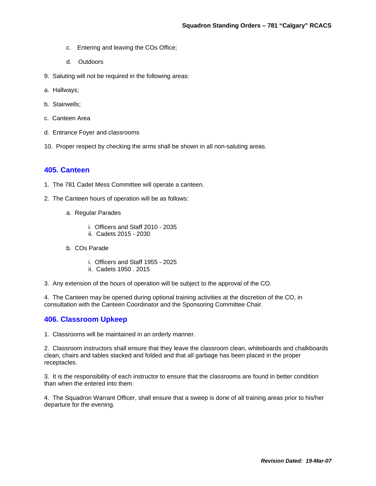- c. Entering and leaving the COs Office;
- d. Outdoors
- 9. Saluting will not be required in the following areas:
- a. Hallways;
- b. Stairwells;
- c. Canteen Area
- d. Entrance Foyer and classrooms
- 10. Proper respect by checking the arms shall be shown in all non-saluting areas.

#### **405. Canteen**

- 1. The 781 Cadet Mess Committee will operate a canteen.
- 2. The Canteen hours of operation will be as follows:
	- a. Regular Parades
		- i. Officers and Staff 2010 2035
		- ii. Cadets 2015 2030
	- b. COs Parade
		- i. Officers and Staff 1955 2025
		- ii. Cadets 1950 . 2015
- 3. Any extension of the hours of operation will be subject to the approval of the CO.

4. The Canteen may be opened during optional training activities at the discretion of the CO, in consultation with the Canteen Coordinator and the Sponsoring Committee Chair.

#### **406. Classroom Upkeep**

1. Classrooms will be maintained in an orderly manner.

2. Classroom instructors shall ensure that they leave the classroom clean, whiteboards and chalkboards clean, chairs and tables stacked and folded and that all garbage has been placed in the proper receptacles.

3. It is the responsibility of each instructor to ensure that the classrooms are found in better condition than when the entered into them.

4. The Squadron Warrant Officer, shall ensure that a sweep is done of all training areas prior to his/her departure for the evening.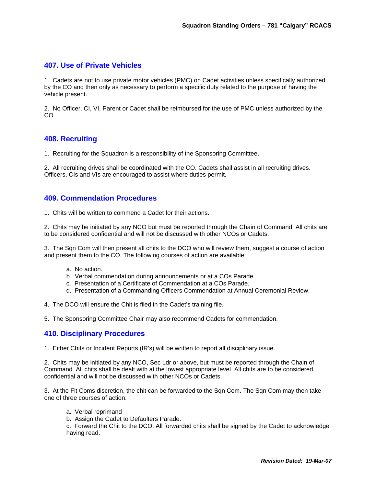# **407. Use of Private Vehicles**

1. Cadets are not to use private motor vehicles (PMC) on Cadet activities unless specifically authorized by the CO and then only as necessary to perform a specific duty related to the purpose of having the vehicle present.

2. No Officer, CI, VI, Parent or Cadet shall be reimbursed for the use of PMC unless authorized by the CO.

# **408. Recruiting**

1. Recruiting for the Squadron is a responsibility of the Sponsoring Committee.

2. All recruiting drives shall be coordinated with the CO. Cadets shall assist in all recruiting drives. Officers, CIs and VIs are encouraged to assist where duties permit.

# **409. Commendation Procedures**

1. Chits will be written to commend a Cadet for their actions.

2. Chits may be initiated by any NCO but must be reported through the Chain of Command. All chits are to be considered confidential and will not be discussed with other NCOs or Cadets.

3. The Sqn Com will then present all chits to the DCO who will review them, suggest a course of action and present them to the CO. The following courses of action are available:

- a. No action.
- b. Verbal commendation during announcements or at a COs Parade.
- c. Presentation of a Certificate of Commendation at a COs Parade.
- d. Presentation of a Commanding Officers Commendation at Annual Ceremonial Review.

4. The DCO will ensure the Chit is filed in the Cadet's training file.

5. The Sponsoring Committee Chair may also recommend Cadets for commendation.

#### **410. Disciplinary Procedures**

1. Either Chits or Incident Reports (IR's) will be written to report all disciplinary issue.

2. Chits may be initiated by any NCO, Sec Ldr or above, but must be reported through the Chain of Command. All chits shall be dealt with at the lowest appropriate level. All chits are to be considered confidential and will not be discussed with other NCOs or Cadets.

3. At the Flt Coms discretion, the chit can be forwarded to the Sqn Com. The Sqn Com may then take one of three courses of action:

- a. Verbal reprimand
- b. Assign the Cadet to Defaulters Parade.

c. Forward the Chit to the DCO. All forwarded chits shall be signed by the Cadet to acknowledge having read.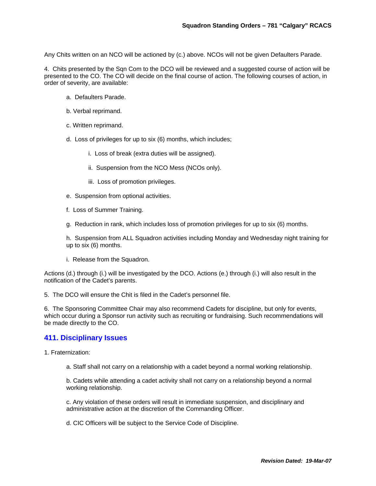Any Chits written on an NCO will be actioned by (c.) above. NCOs will not be given Defaulters Parade.

4. Chits presented by the Sqn Com to the DCO will be reviewed and a suggested course of action will be presented to the CO. The CO will decide on the final course of action. The following courses of action, in order of severity, are available:

- a. Defaulters Parade.
- b. Verbal reprimand.
- c. Written reprimand.
- d. Loss of privileges for up to six (6) months, which includes;
	- i. Loss of break (extra duties will be assigned).
	- ii. Suspension from the NCO Mess (NCOs only).
	- iii. Loss of promotion privileges.
- e. Suspension from optional activities.
- f. Loss of Summer Training.
- g. Reduction in rank, which includes loss of promotion privileges for up to six (6) months.

h. Suspension from ALL Squadron activities including Monday and Wednesday night training for up to six (6) months.

i. Release from the Squadron.

Actions (d.) through (i.) will be investigated by the DCO. Actions (e.) through (i.) will also result in the notification of the Cadet's parents.

5. The DCO will ensure the Chit is filed in the Cadet's personnel file.

6. The Sponsoring Committee Chair may also recommend Cadets for discipline, but only for events, which occur during a Sponsor run activity such as recruiting or fundraising. Such recommendations will be made directly to the CO.

#### **411. Disciplinary Issues**

1. Fraternization:

a. Staff shall not carry on a relationship with a cadet beyond a normal working relationship.

b. Cadets while attending a cadet activity shall not carry on a relationship beyond a normal working relationship.

c. Any violation of these orders will result in immediate suspension, and disciplinary and administrative action at the discretion of the Commanding Officer.

d. CIC Officers will be subject to the Service Code of Discipline.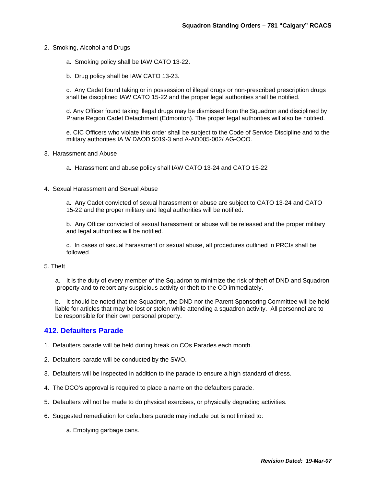- 2. Smoking, Alcohol and Drugs
	- a. Smoking policy shall be IAW CATO 13-22.
	- b. Drug policy shall be IAW CATO 13-23.

c. Any Cadet found taking or in possession of illegal drugs or non-prescribed prescription drugs shall be disciplined IAW CATO 15-22 and the proper legal authorities shall be notified.

d. Any Officer found taking illegal drugs may be dismissed from the Squadron and disciplined by Prairie Region Cadet Detachment (Edmonton). The proper legal authorities will also be notified.

e. CIC Officers who violate this order shall be subject to the Code of Service Discipline and to the military authorities IA W DAOD 5019-3 and A-AD005-002/ AG-OOO.

- 3. Harassment and Abuse
	- a. Harassment and abuse policy shall IAW CATO 13-24 and CATO 15-22
- 4. Sexual Harassment and Sexual Abuse

a. Any Cadet convicted of sexual harassment or abuse are subject to CATO 13-24 and CATO 15-22 and the proper military and legal authorities will be notified.

b. Any Officer convicted of sexual harassment or abuse will be released and the proper military and legal authorities will be notified.

c. In cases of sexual harassment or sexual abuse, all procedures outlined in PRCIs shall be followed.

#### 5. Theft

a. It is the duty of every member of the Squadron to minimize the risk of theft of DND and Squadron property and to report any suspicious activity or theft to the CO immediately.

b. It should be noted that the Squadron, the DND nor the Parent Sponsoring Committee will be held liable for articles that may be lost or stolen while attending a squadron activity. All personnel are to be responsible for their own personal property.

#### **412. Defaulters Parade**

- 1. Defaulters parade will be held during break on COs Parades each month.
- 2. Defaulters parade will be conducted by the SWO.
- 3. Defaulters will be inspected in addition to the parade to ensure a high standard of dress.
- 4. The DCO's approval is required to place a name on the defaulters parade.
- 5. Defaulters will not be made to do physical exercises, or physically degrading activities.
- 6. Suggested remediation for defaulters parade may include but is not limited to:
	- a. Emptying garbage cans.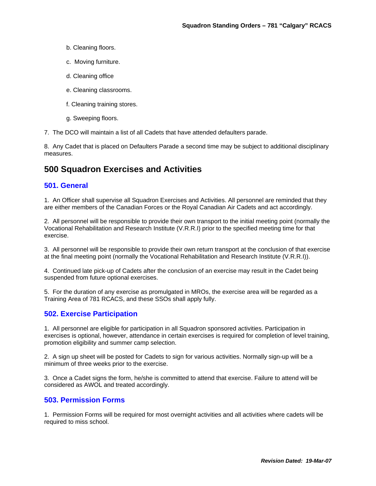- b. Cleaning floors.
- c. Moving furniture.
- d. Cleaning office
- e. Cleaning classrooms.
- f. Cleaning training stores.
- g. Sweeping floors.
- 7. The DCO will maintain a list of all Cadets that have attended defaulters parade.

8. Any Cadet that is placed on Defaulters Parade a second time may be subject to additional disciplinary measures.

# **500 Squadron Exercises and Activities**

#### **501. General**

1. An Officer shall supervise all Squadron Exercises and Activities. All personnel are reminded that they are either members of the Canadian Forces or the Royal Canadian Air Cadets and act accordingly.

2. All personnel will be responsible to provide their own transport to the initial meeting point (normally the Vocational Rehabilitation and Research Institute (V.R.R.I) prior to the specified meeting time for that exercise.

3. All personnel will be responsible to provide their own return transport at the conclusion of that exercise at the final meeting point (normally the Vocational Rehabilitation and Research Institute (V.R.R.I)).

4. Continued late pick-up of Cadets after the conclusion of an exercise may result in the Cadet being suspended from future optional exercises.

5. For the duration of any exercise as promulgated in MROs, the exercise area will be regarded as a Training Area of 781 RCACS, and these SSOs shall apply fully.

#### **502. Exercise Participation**

1. All personnel are eligible for participation in all Squadron sponsored activities. Participation in exercises is optional, however, attendance in certain exercises is required for completion of level training, promotion eligibility and summer camp selection.

2. A sign up sheet will be posted for Cadets to sign for various activities. Normally sign-up will be a minimum of three weeks prior to the exercise.

3. Once a Cadet signs the form, he/she is committed to attend that exercise. Failure to attend will be considered as AWOL and treated accordingly.

#### **503. Permission Forms**

1. Permission Forms will be required for most overnight activities and all activities where cadets will be required to miss school.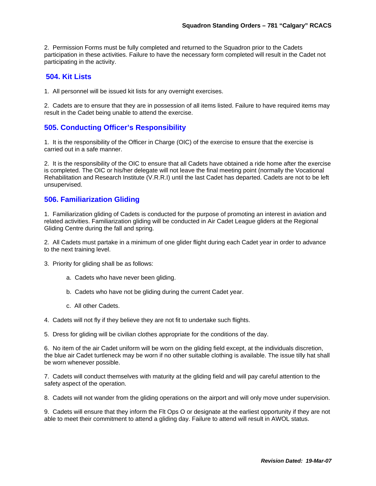2. Permission Forms must be fully completed and returned to the Squadron prior to the Cadets participation in these activities. Failure to have the necessary form completed will result in the Cadet not participating in the activity.

#### **504. Kit Lists**

1. All personnel will be issued kit lists for any overnight exercises.

2. Cadets are to ensure that they are in possession of all items listed. Failure to have required items may result in the Cadet being unable to attend the exercise.

# **505. Conducting Officer's Responsibility**

1. It is the responsibility of the Officer in Charge (OIC) of the exercise to ensure that the exercise is carried out in a safe manner.

2. It is the responsibility of the OIC to ensure that all Cadets have obtained a ride home after the exercise is completed. The OIC or his/her delegate will not leave the final meeting point (normally the Vocational Rehabilitation and Research Institute (V.R.R.I) until the last Cadet has departed. Cadets are not to be left unsupervised.

# **506. Familiarization Gliding**

1. Familiarization gliding of Cadets is conducted for the purpose of promoting an interest in aviation and related activities. Familiarization gliding will be conducted in Air Cadet League gliders at the Regional Gliding Centre during the fall and spring.

2. All Cadets must partake in a minimum of one glider flight during each Cadet year in order to advance to the next training level.

- 3. Priority for gliding shall be as follows:
	- a. Cadets who have never been gliding.
	- b. Cadets who have not be gliding during the current Cadet year.
	- c. All other Cadets.

4. Cadets will not fly if they believe they are not fit to undertake such flights.

5. Dress for gliding will be civilian clothes appropriate for the conditions of the day.

6. No item of the air Cadet uniform will be worn on the gliding field except, at the individuals discretion, the blue air Cadet turtleneck may be worn if no other suitable clothing is available. The issue tilly hat shall be worn whenever possible.

7. Cadets will conduct themselves with maturity at the gliding field and will pay careful attention to the safety aspect of the operation.

8. Cadets will not wander from the gliding operations on the airport and will only move under supervision.

9. Cadets will ensure that they inform the Flt Ops O or designate at the earliest opportunity if they are not able to meet their commitment to attend a gliding day. Failure to attend will result in AWOL status.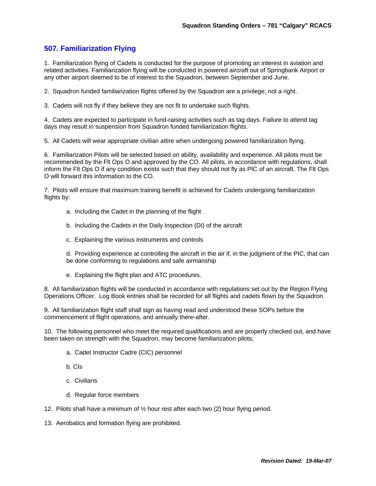# **507. Familiarization Flying**

1. Familiarization flying of Cadets is conducted for the purpose of promoting an interest in aviation and related activities. Familiarization flying will be conducted in powered aircraft out of Springbank Airport or any other airport deemed to be of interest to the Squadron, between September and June.

2. Squadron funded familiarization flights offered by the Squadron are a privilege, not a right.

3. Cadets will not fly if they believe they are not fit to undertake such flights.

4. Cadets are expected to participate in fund-raising activities such as tag days. Failure to attend tag days may result in suspension from Squadron funded familiarization flights.

5. All Cadets will wear appropriate civilian attire when undergoing powered familiarization flying.

6. Familiarization Pilots will be selected based on ability, availability and experience. All pilots must be recommended by the Flt Ops O and approved by the CO. All pilots, in accordance with regulations, shall inform the Flt Ops O if any condition exists such that they should not fly as PIC of an aircraft. The Flt Ops O will forward this information to the CO.

7. Pilots will ensure that maximum training benefit is achieved for Cadets undergoing familiarization flights by:

- a. Including the Cadet in the planning of the flight
- b. Including the Cadets in the Daily Inspection (DI) of the aircraft
- c. Explaining the various instruments and controls

d. Providing experience at controlling the aircraft in the air if, in the judgment of the PIC, that can be done conforming to regulations and safe airmanship

e. Explaining the flight plan and ATC procedures.

8. All familiarization flights will be conducted in accordance with regulations set out by the Region Flying Operations Officer. Log Book entries shall be recorded for all flights and cadets flown by the Squadron.

9. All familiarization flight staff shall sign as having read and understood these SOPs before the commencement of flight operations, and annually there-after.

10. The following personnel who meet the required qualifications and are properly checked out, and have been taken on strength with the Squadron, may become familiarization pilots;

- a. Cadet Instructor Cadre (CIC) personnel
- b. CIs
- c. Civilians
- d. Regular force members
- 12. Pilots shall have a minimum of  $\frac{1}{2}$  hour rest after each two (2) hour flying period.
- 13. Aerobatics and formation flying are prohibited.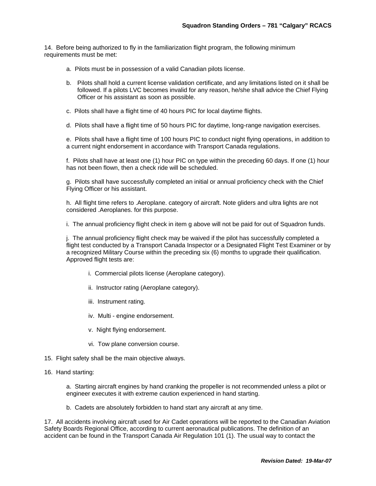14. Before being authorized to fly in the familiarization flight program, the following minimum requirements must be met:

- a. Pilots must be in possession of a valid Canadian pilots license.
- b. Pilots shall hold a current license validation certificate, and any limitations listed on it shall be followed. If a pilots LVC becomes invalid for any reason, he/she shall advice the Chief Flying Officer or his assistant as soon as possible.
- c. Pilots shall have a flight time of 40 hours PIC for local daytime flights.

d. Pilots shall have a flight time of 50 hours PIC for daytime, long-range navigation exercises.

e. Pilots shall have a flight time of 100 hours PIC to conduct night flying operations, in addition to a current night endorsement in accordance with Transport Canada regulations.

f. Pilots shall have at least one (1) hour PIC on type within the preceding 60 days. If one (1) hour has not been flown, then a check ride will be scheduled.

g. Pilots shall have successfully completed an initial or annual proficiency check with the Chief Flying Officer or his assistant.

h. All flight time refers to .Aeroplane. category of aircraft. Note gliders and ultra lights are not considered .Aeroplanes. for this purpose.

i. The annual proficiency flight check in item g above will not be paid for out of Squadron funds.

j. The annual proficiency flight check may be waived if the pilot has successfully completed a flight test conducted by a Transport Canada Inspector or a Designated Flight Test Examiner or by a recognized Military Course within the preceding six (6) months to upgrade their qualification. Approved flight tests are:

- i. Commercial pilots license (Aeroplane category).
- ii. Instructor rating (Aeroplane category).
- iii. Instrument rating.
- iv. Multi engine endorsement.
- v. Night flying endorsement.
- vi. Tow plane conversion course.
- 15. Flight safety shall be the main objective always.
- 16. Hand starting:

a. Starting aircraft engines by hand cranking the propeller is not recommended unless a pilot or engineer executes it with extreme caution experienced in hand starting.

b. Cadets are absolutely forbidden to hand start any aircraft at any time.

17. All accidents involving aircraft used for Air Cadet operations will be reported to the Canadian Aviation Safety Boards Regional Office, according to current aeronautical publications. The definition of an accident can be found in the Transport Canada Air Regulation 101 (1). The usual way to contact the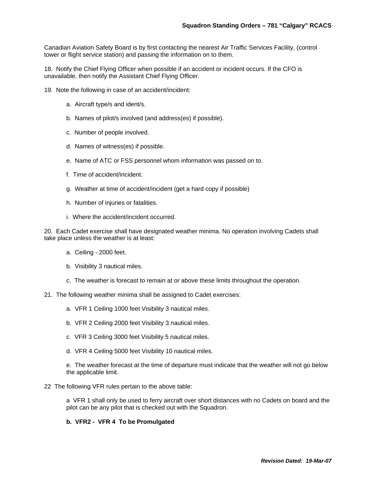Canadian Aviation Safety Board is by first contacting the nearest Air Traffic Services Facility, (control tower or flight service station) and passing the information on to them.

18. Notify the Chief Flying Officer when possible if an accident or incident occurs. If the CFO is unavailable, then notify the Assistant Chief Flying Officer.

- 19. Note the following in case of an accident/incident:
	- a. Aircraft type/s and ident/s.
	- b. Names of pilot/s involved (and address(es) if possible).
	- c. Number of people involved.
	- d. Names of witness(es) if possible.
	- e. Name of ATC or FSS personnel whom information was passed on to.
	- f. Time of accident/incident.
	- g. Weather at time of accident/incident (get a hard copy if possible)
	- h. Number of injuries or fatalities.
	- i. Where the accident/incident occurred.

20. Each Cadet exercise shall have designated weather minima. No operation involving Cadets shall take place unless the weather is at least:

- a. Ceiling 2000 feet.
- b. Visibility 3 nautical miles.
- c. The weather is forecast to remain at or above these limits throughout the operation.
- 21. The following weather minima shall be assigned to Cadet exercises:
	- a. VFR 1 Ceiling 1000 feet Visibility 3 nautical miles.
	- b. VFR 2 Ceiling 2000 feet Visibility 3 nautical miles.
	- c. VFR 3 Ceiling 3000 feet Visibility 5 nautical miles.
	- d. VFR 4 Ceiling 5000 feet Visibility 10 nautical miles.

e. The weather forecast at the time of departure must indicate that the weather will not go below the applicable limit.

22 The following VFR rules pertain to the above table:

a VFR 1 shall only be used to ferry aircraft over short distances with no Cadets on board and the pilot can be any pilot that is checked out with the Squadron.

#### **b. VFR2 - VFR 4 To be Promulgated**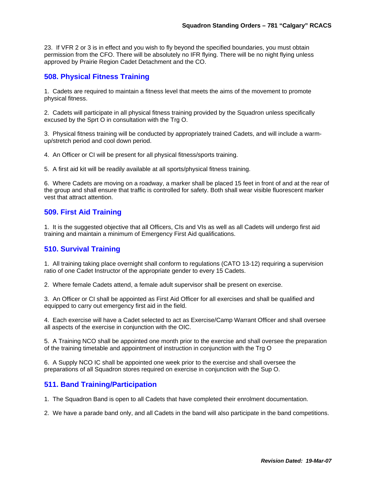23. If VFR 2 or 3 is in effect and you wish to fly beyond the specified boundaries, you must obtain permission from the CFO. There will be absolutely no IFR flying. There will be no night flying unless approved by Prairie Region Cadet Detachment and the CO.

# **508. Physical Fitness Training**

1. Cadets are required to maintain a fitness level that meets the aims of the movement to promote physical fitness.

2. Cadets will participate in all physical fitness training provided by the Squadron unless specifically excused by the Sprt O in consultation with the Trg O.

3. Physical fitness training will be conducted by appropriately trained Cadets, and will include a warmup/stretch period and cool down period.

4. An Officer or CI will be present for all physical fitness/sports training.

5. A first aid kit will be readily available at all sports/physical fitness training.

6. Where Cadets are moving on a roadway, a marker shall be placed 15 feet in front of and at the rear of the group and shall ensure that traffic is controlled for safety. Both shall wear visible fluorescent marker vest that attract attention.

#### **509. First Aid Training**

1. It is the suggested objective that all Officers, CIs and VIs as well as all Cadets will undergo first aid training and maintain a minimum of Emergency First Aid qualifications.

#### **510. Survival Training**

1. All training taking place overnight shall conform to regulations (CATO 13-12) requiring a supervision ratio of one Cadet Instructor of the appropriate gender to every 15 Cadets.

2. Where female Cadets attend, a female adult supervisor shall be present on exercise.

3. An Officer or CI shall be appointed as First Aid Officer for all exercises and shall be qualified and equipped to carry out emergency first aid in the field.

4. Each exercise will have a Cadet selected to act as Exercise/Camp Warrant Officer and shall oversee all aspects of the exercise in conjunction with the OIC.

5. A Training NCO shall be appointed one month prior to the exercise and shall oversee the preparation of the training timetable and appointment of instruction in conjunction with the Trg O

6. A Supply NCO IC shall be appointed one week prior to the exercise and shall oversee the preparations of all Squadron stores required on exercise in conjunction with the Sup O.

#### **511. Band Training/Participation**

1. The Squadron Band is open to all Cadets that have completed their enrolment documentation.

2. We have a parade band only, and all Cadets in the band will also participate in the band competitions.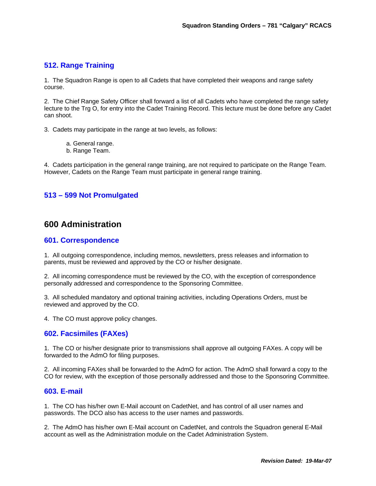# **512. Range Training**

1. The Squadron Range is open to all Cadets that have completed their weapons and range safety course.

2. The Chief Range Safety Officer shall forward a list of all Cadets who have completed the range safety lecture to the Trg O, for entry into the Cadet Training Record. This lecture must be done before any Cadet can shoot.

3. Cadets may participate in the range at two levels, as follows:

- a. General range.
- b. Range Team.

4. Cadets participation in the general range training, are not required to participate on the Range Team. However, Cadets on the Range Team must participate in general range training.

# **513 – 599 Not Promulgated**

# **600 Administration**

#### **601. Correspondence**

1. All outgoing correspondence, including memos, newsletters, press releases and information to parents, must be reviewed and approved by the CO or his/her designate.

2. All incoming correspondence must be reviewed by the CO, with the exception of correspondence personally addressed and correspondence to the Sponsoring Committee.

3. All scheduled mandatory and optional training activities, including Operations Orders, must be reviewed and approved by the CO.

4. The CO must approve policy changes.

#### **602. Facsimiles (FAXes)**

1. The CO or his/her designate prior to transmissions shall approve all outgoing FAXes. A copy will be forwarded to the AdmO for filing purposes.

2. All incoming FAXes shall be forwarded to the AdmO for action. The AdmO shall forward a copy to the CO for review, with the exception of those personally addressed and those to the Sponsoring Committee.

#### **603. E-mail**

1. The CO has his/her own E-Mail account on CadetNet, and has control of all user names and passwords. The DCO also has access to the user names and passwords.

2. The AdmO has his/her own E-Mail account on CadetNet, and controls the Squadron general E-Mail account as well as the Administration module on the Cadet Administration System.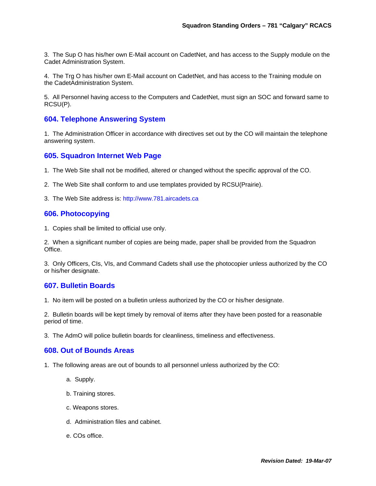3. The Sup O has his/her own E-Mail account on CadetNet, and has access to the Supply module on the Cadet Administration System.

4. The Trg O has his/her own E-Mail account on CadetNet, and has access to the Training module on the CadetAdministration System.

5. All Personnel having access to the Computers and CadetNet, must sign an SOC and forward same to RCSU(P).

#### **604. Telephone Answering System**

1. The Administration Officer in accordance with directives set out by the CO will maintain the telephone answering system.

#### **605. Squadron Internet Web Page**

- 1. The Web Site shall not be modified, altered or changed without the specific approval of the CO.
- 2. The Web Site shall conform to and use templates provided by RCSU(Prairie).
- 3. The Web Site address is: http://www.781.aircadets.ca

#### **606. Photocopying**

1. Copies shall be limited to official use only.

2. When a significant number of copies are being made, paper shall be provided from the Squadron Office.

3. Only Officers, CIs, VIs, and Command Cadets shall use the photocopier unless authorized by the CO or his/her designate.

#### **607. Bulletin Boards**

1. No item will be posted on a bulletin unless authorized by the CO or his/her designate.

2. Bulletin boards will be kept timely by removal of items after they have been posted for a reasonable period of time.

3. The AdmO will police bulletin boards for cleanliness, timeliness and effectiveness.

#### **608. Out of Bounds Areas**

- 1. The following areas are out of bounds to all personnel unless authorized by the CO:
	- a. Supply.
	- b. Training stores.
	- c. Weapons stores.
	- d. Administration files and cabinet.
	- e. COs office.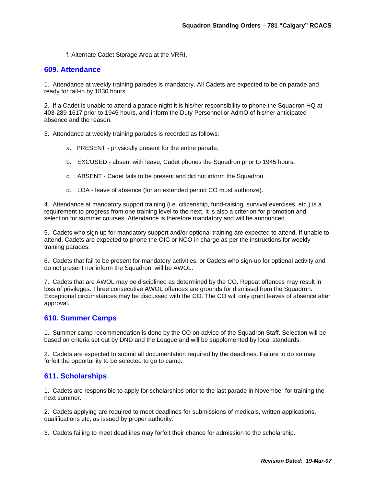f. Alternate Cadet Storage Area at the VRRI.

#### **609. Attendance**

1. Attendance at weekly training parades is mandatory. All Cadets are expected to be on parade and ready for fall-in by 1830 hours.

2. If a Cadet is unable to attend a parade night it is his/her responsibility to phone the Squadron HQ at 403-289-1617 prior to 1945 hours, and inform the Duty Personnel or AdmO of his/her anticipated absence and the reason.

3. Attendance at weekly training parades is recorded as follows:

- a. PRESENT physically present for the entire parade.
- b. EXCUSED absent with leave, Cadet phones the Squadron prior to 1945 hours.
- c. ABSENT Cadet fails to be present and did not inform the Squadron.
- d. LOA leave of absence (for an extended period CO must authorize).

4. Attendance at mandatory support training (i.e. citizenship, fund-raising, survival exercises, etc.) is a requirement to progress from one training level to the next. It is also a criterion for promotion and selection for summer courses. Attendance is therefore mandatory and will be announced.

5. Cadets who sign up for mandatory support and/or optional training are expected to attend. If unable to attend, Cadets are expected to phone the OIC or NCO in charge as per the instructions for weekly training parades.

6. Cadets that fail to be present for mandatory activities, or Cadets who sign-up for optional activity and do not present nor inform the Squadron, will be AWOL.

7. Cadets that are AWOL may be disciplined as determined by the CO. Repeat offences may result in loss of privileges. Three consecutive AWOL offences are grounds for dismissal from the Squadron. Exceptional circumstances may be discussed with the CO. The CO will only grant leaves of absence after approval.

#### **610. Summer Camps**

1. Summer camp recommendation is done by the CO on advice of the Squadron Staff. Selection will be based on criteria set out by DND and the League and will be supplemented by local standards.

2. Cadets are expected to submit all documentation required by the deadlines. Failure to do so may forfeit the opportunity to be selected to go to camp.

#### **611. Scholarships**

1. Cadets are responsible to apply for scholarships prior to the last parade in November for training the next summer.

2. Cadets applying are required to meet deadlines for submissions of medicals, written applications, qualifications etc, as issued by proper authority.

3. Cadets failing to meet deadlines may forfeit their chance for admission to the scholarship.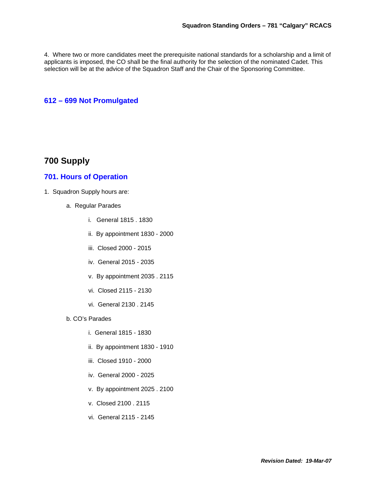4. Where two or more candidates meet the prerequisite national standards for a scholarship and a limit of applicants is imposed, the CO shall be the final authority for the selection of the nominated Cadet. This selection will be at the advice of the Squadron Staff and the Chair of the Sponsoring Committee.

#### **612 – 699 Not Promulgated**

# **700 Supply**

#### **701. Hours of Operation**

- 1. Squadron Supply hours are:
	- a. Regular Parades
		- i. General 1815 . 1830
		- ii. By appointment 1830 2000
		- iii. Closed 2000 2015
		- iv. General 2015 2035
		- v. By appointment 2035 . 2115
		- vi. Closed 2115 2130
		- vi. General 2130 . 2145
	- b. CO's Parades
		- i. General 1815 1830
		- ii. By appointment 1830 1910
		- iii. Closed 1910 2000
		- iv. General 2000 2025
		- v. By appointment 2025 . 2100
		- v. Closed 2100 . 2115
		- vi. General 2115 2145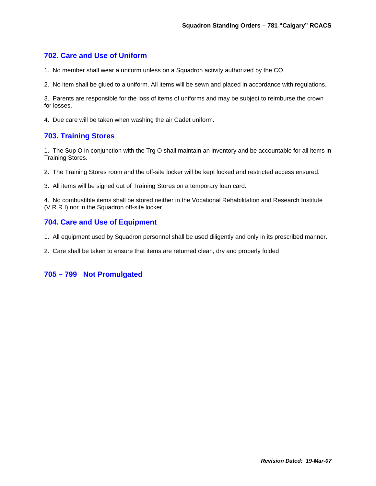# **702. Care and Use of Uniform**

- 1. No member shall wear a uniform unless on a Squadron activity authorized by the CO.
- 2. No item shall be glued to a uniform. All items will be sewn and placed in accordance with regulations.

3. Parents are responsible for the loss of items of uniforms and may be subject to reimburse the crown for losses.

4. Due care will be taken when washing the air Cadet uniform.

# **703. Training Stores**

1. The Sup O in conjunction with the Trg O shall maintain an inventory and be accountable for all items in Training Stores.

2. The Training Stores room and the off-site locker will be kept locked and restricted access ensured.

3. All items will be signed out of Training Stores on a temporary loan card.

4. No combustible items shall be stored neither in the Vocational Rehabilitation and Research Institute (V.R.R.I) nor in the Squadron off-site locker.

# **704. Care and Use of Equipment**

- 1. All equipment used by Squadron personnel shall be used diligently and only in its prescribed manner.
- 2. Care shall be taken to ensure that items are returned clean, dry and properly folded

# **705 – 799 Not Promulgated**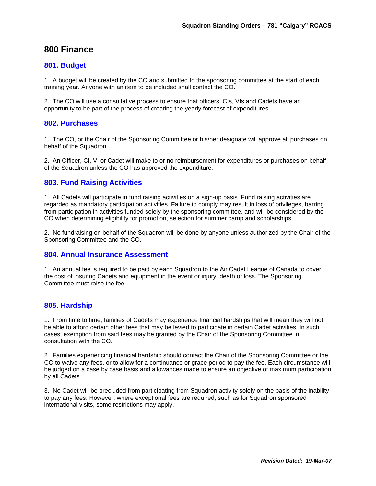# **800 Finance**

#### **801. Budget**

1. A budget will be created by the CO and submitted to the sponsoring committee at the start of each training year. Anyone with an item to be included shall contact the CO.

2. The CO will use a consultative process to ensure that officers, CIs, VIs and Cadets have an opportunity to be part of the process of creating the yearly forecast of expenditures.

#### **802. Purchases**

1. The CO, or the Chair of the Sponsoring Committee or his/her designate will approve all purchases on behalf of the Squadron.

2. An Officer, CI, VI or Cadet will make to or no reimbursement for expenditures or purchases on behalf of the Squadron unless the CO has approved the expenditure.

#### **803. Fund Raising Activities**

1. All Cadets will participate in fund raising activities on a sign-up basis. Fund raising activities are regarded as mandatory participation activities. Failure to comply may result in loss of privileges, barring from participation in activities funded solely by the sponsoring committee, and will be considered by the CO when determining eligibility for promotion, selection for summer camp and scholarships.

2. No fundraising on behalf of the Squadron will be done by anyone unless authorized by the Chair of the Sponsoring Committee and the CO.

#### **804. Annual Insurance Assessment**

1. An annual fee is required to be paid by each Squadron to the Air Cadet League of Canada to cover the cost of insuring Cadets and equipment in the event or injury, death or loss. The Sponsoring Committee must raise the fee.

#### **805. Hardship**

1. From time to time, families of Cadets may experience financial hardships that will mean they will not be able to afford certain other fees that may be levied to participate in certain Cadet activities. In such cases, exemption from said fees may be granted by the Chair of the Sponsoring Committee in consultation with the CO.

2. Families experiencing financial hardship should contact the Chair of the Sponsoring Committee or the CO to waive any fees, or to allow for a continuance or grace period to pay the fee. Each circumstance will be judged on a case by case basis and allowances made to ensure an objective of maximum participation by all Cadets.

3. No Cadet will be precluded from participating from Squadron activity solely on the basis of the inability to pay any fees. However, where exceptional fees are required, such as for Squadron sponsored international visits, some restrictions may apply.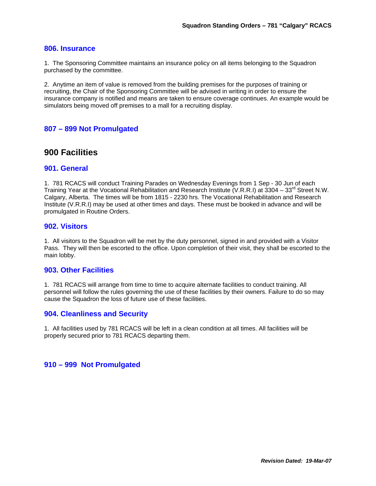#### **806. Insurance**

1. The Sponsoring Committee maintains an insurance policy on all items belonging to the Squadron purchased by the committee.

2. Anytime an item of value is removed from the building premises for the purposes of training or recruiting, the Chair of the Sponsoring Committee will be advised in writing in order to ensure the insurance company is notified and means are taken to ensure coverage continues. An example would be simulators being moved off premises to a mall for a recruiting display.

#### **807 – 899 Not Promulgated**

# **900 Facilities**

#### **901. General**

1. 781 RCACS will conduct Training Parades on Wednesday Evenings from 1 Sep - 30 Jun of each Training Year at the Vocational Rehabilitation and Research Institute (V.R.R.I) at 3304 – 33<sup>rd</sup> Street N.W. Calgary, Alberta. The times will be from 1815 - 2230 hrs. The Vocational Rehabilitation and Research Institute (V.R.R.I) may be used at other times and days. These must be booked in advance and will be promulgated in Routine Orders.

#### **902. Visitors**

1. All visitors to the Squadron will be met by the duty personnel, signed in and provided with a Visitor Pass. They will then be escorted to the office. Upon completion of their visit, they shall be escorted to the main lobby.

#### **903. Other Facilities**

1. 781 RCACS will arrange from time to time to acquire alternate facilities to conduct training. All personnel will follow the rules governing the use of these facilities by their owners. Failure to do so may cause the Squadron the loss of future use of these facilities.

#### **904. Cleanliness and Security**

1. All facilities used by 781 RCACS will be left in a clean condition at all times. All facilities will be properly secured prior to 781 RCACS departing them.

#### **910 – 999 Not Promulgated**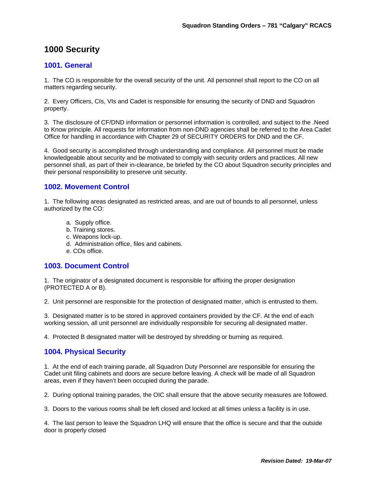# **1000 Security**

#### **1001. General**

1. The CO is responsible for the overall security of the unit. All personnel shall report to the CO on all matters regarding security.

2. Every Officers, CIs, VIs and Cadet is responsible for ensuring the security of DND and Squadron property.

3. The disclosure of CF/DND information or personnel information is controlled, and subject to the .Need to Know principle. All requests for information from non-DND agencies shall be referred to the Area Cadet Office for handling in accordance with Chapter 29 of SECURITY ORDERS for DND and the CF.

4. Good security is accomplished through understanding and compliance. All personnel must be made knowledgeable about security and be motivated to comply with security orders and practices. All new personnel shall, as part of their in-clearance, be briefed by the CO about Squadron security principles and their personal responsibility to preserve unit security.

# **1002. Movement Control**

1. The following areas designated as restricted areas, and are out of bounds to all personnel, unless authorized by the CO:

- a. Supply office.
- b. Training stores.
- c. Weapons lock-up.
- d. Administration office, files and cabinets.
- e. COs office.

#### **1003. Document Control**

1. The originator of a designated document is responsible for affixing the proper designation (PROTECTED A or B).

2. Unit personnel are responsible for the protection of designated matter, which is entrusted to them.

3. Designated matter is to be stored in approved containers provided by the CF. At the end of each working session, all unit personnel are individually responsible for securing all designated matter.

4. Protected B designated matter will be destroyed by shredding or burning as required.

#### **1004. Physical Security**

1. At the end of each training parade, all Squadron Duty Personnel are responsible for ensuring the Cadet unit filing cabinets and doors are secure before leaving. A check will be made of all Squadron areas, even if they haven't been occupied during the parade.

2. During optional training parades, the OIC shall ensure that the above security measures are followed.

3. Doors to the various rooms shall be left closed and locked at all times unless a facility is in use.

4. The last person to leave the Squadron LHQ will ensure that the office is secure and that the outside door is properly closed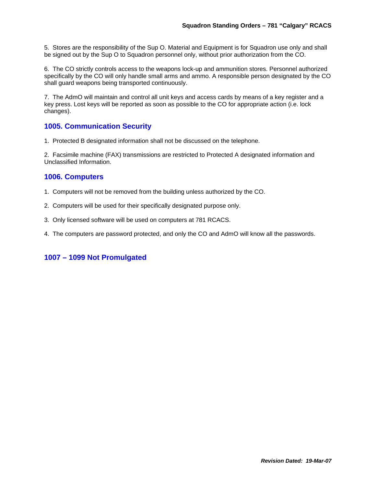5. Stores are the responsibility of the Sup O. Material and Equipment is for Squadron use only and shall be signed out by the Sup O to Squadron personnel only, without prior authorization from the CO.

6. The CO strictly controls access to the weapons lock-up and ammunition stores. Personnel authorized specifically by the CO will only handle small arms and ammo. A responsible person designated by the CO shall guard weapons being transported continuously.

7. The AdmO will maintain and control all unit keys and access cards by means of a key register and a key press. Lost keys will be reported as soon as possible to the CO for appropriate action (i.e. lock changes).

# **1005. Communication Security**

1. Protected B designated information shall not be discussed on the telephone.

2. Facsimile machine (FAX) transmissions are restricted to Protected A designated information and Unclassified Information.

# **1006. Computers**

- 1. Computers will not be removed from the building unless authorized by the CO.
- 2. Computers will be used for their specifically designated purpose only.
- 3. Only licensed software will be used on computers at 781 RCACS.
- 4. The computers are password protected, and only the CO and AdmO will know all the passwords.

# **1007 – 1099 Not Promulgated**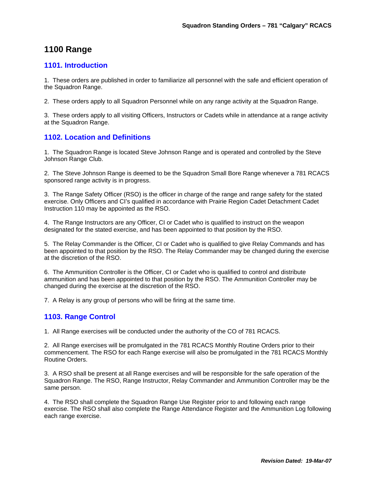# **1100 Range**

# **1101. Introduction**

1. These orders are published in order to familiarize all personnel with the safe and efficient operation of the Squadron Range.

2. These orders apply to all Squadron Personnel while on any range activity at the Squadron Range.

3. These orders apply to all visiting Officers, Instructors or Cadets while in attendance at a range activity at the Squadron Range.

# **1102. Location and Definitions**

1. The Squadron Range is located Steve Johnson Range and is operated and controlled by the Steve Johnson Range Club.

2. The Steve Johnson Range is deemed to be the Squadron Small Bore Range whenever a 781 RCACS sponsored range activity is in progress.

3. The Range Safety Officer (RSO) is the officer in charge of the range and range safety for the stated exercise. Only Officers and CI's qualified in accordance with Prairie Region Cadet Detachment Cadet Instruction 110 may be appointed as the RSO.

4. The Range Instructors are any Officer, CI or Cadet who is qualified to instruct on the weapon designated for the stated exercise, and has been appointed to that position by the RSO.

5. The Relay Commander is the Officer, CI or Cadet who is qualified to give Relay Commands and has been appointed to that position by the RSO. The Relay Commander may be changed during the exercise at the discretion of the RSO.

6. The Ammunition Controller is the Officer, CI or Cadet who is qualified to control and distribute ammunition and has been appointed to that position by the RSO. The Ammunition Controller may be changed during the exercise at the discretion of the RSO.

7. A Relay is any group of persons who will be firing at the same time.

#### **1103. Range Control**

1. All Range exercises will be conducted under the authority of the CO of 781 RCACS.

2. All Range exercises will be promulgated in the 781 RCACS Monthly Routine Orders prior to their commencement. The RSO for each Range exercise will also be promulgated in the 781 RCACS Monthly Routine Orders.

3. A RSO shall be present at all Range exercises and will be responsible for the safe operation of the Squadron Range. The RSO, Range Instructor, Relay Commander and Ammunition Controller may be the same person.

4. The RSO shall complete the Squadron Range Use Register prior to and following each range exercise. The RSO shall also complete the Range Attendance Register and the Ammunition Log following each range exercise.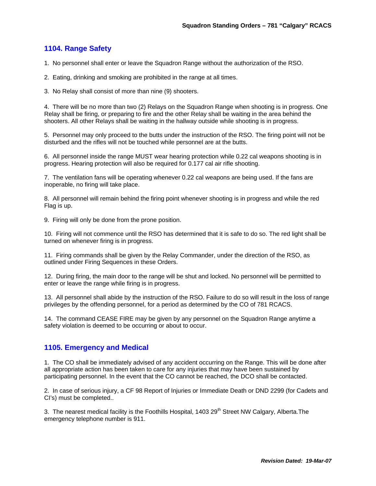# **1104. Range Safety**

1. No personnel shall enter or leave the Squadron Range without the authorization of the RSO.

- 2. Eating, drinking and smoking are prohibited in the range at all times.
- 3. No Relay shall consist of more than nine (9) shooters.

4. There will be no more than two (2) Relays on the Squadron Range when shooting is in progress. One Relay shall be firing, or preparing to fire and the other Relay shall be waiting in the area behind the shooters. All other Relays shall be waiting in the hallway outside while shooting is in progress.

5. Personnel may only proceed to the butts under the instruction of the RSO. The firing point will not be disturbed and the rifles will not be touched while personnel are at the butts.

6. All personnel inside the range MUST wear hearing protection while 0.22 cal weapons shooting is in progress. Hearing protection will also be required for 0.177 cal air rifle shooting.

7. The ventilation fans will be operating whenever 0.22 cal weapons are being used. If the fans are inoperable, no firing will take place.

8. All personnel will remain behind the firing point whenever shooting is in progress and while the red Flag is up.

9. Firing will only be done from the prone position.

10. Firing will not commence until the RSO has determined that it is safe to do so. The red light shall be turned on whenever firing is in progress.

11. Firing commands shall be given by the Relay Commander, under the direction of the RSO, as outlined under Firing Sequences in these Orders.

12. During firing, the main door to the range will be shut and locked. No personnel will be permitted to enter or leave the range while firing is in progress.

13. All personnel shall abide by the instruction of the RSO. Failure to do so will result in the loss of range privileges by the offending personnel, for a period as determined by the CO of 781 RCACS.

14. The command CEASE FIRE may be given by any personnel on the Squadron Range anytime a safety violation is deemed to be occurring or about to occur.

#### **1105. Emergency and Medical**

1. The CO shall be immediately advised of any accident occurring on the Range. This will be done after all appropriate action has been taken to care for any injuries that may have been sustained by participating personnel. In the event that the CO cannot be reached, the DCO shall be contacted.

2. In case of serious injury, a CF 98 Report of Injuries or Immediate Death or DND 2299 (for Cadets and CI's) must be completed..

3. The nearest medical facility is the Foothills Hospital,  $1403 29<sup>th</sup>$  Street NW Calgary, Alberta. The emergency telephone number is 911.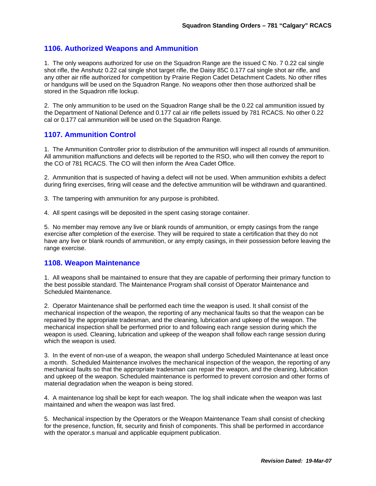# **1106. Authorized Weapons and Ammunition**

1. The only weapons authorized for use on the Squadron Range are the issued C No. 7 0.22 cal single shot rifle, the Anshutz 0.22 cal single shot target rifle, the Daisy 85C 0.177 cal single shot air rifle, and any other air rifle authorized for competition by Prairie Region Cadet Detachment Cadets. No other rifles or handguns will be used on the Squadron Range. No weapons other then those authorized shall be stored in the Squadron rifle lockup.

2. The only ammunition to be used on the Squadron Range shall be the 0.22 cal ammunition issued by the Department of National Defence and 0.177 cal air rifle pellets issued by 781 RCACS. No other 0.22 cal or 0.177 cal ammunition will be used on the Squadron Range.

#### **1107. Ammunition Control**

1. The Ammunition Controller prior to distribution of the ammunition will inspect all rounds of ammunition. All ammunition malfunctions and defects will be reported to the RSO, who will then convey the report to the CO of 781 RCACS. The CO will then inform the Area Cadet Office.

2. Ammunition that is suspected of having a defect will not be used. When ammunition exhibits a defect during firing exercises, firing will cease and the defective ammunition will be withdrawn and quarantined.

3. The tampering with ammunition for any purpose is prohibited.

4. All spent casings will be deposited in the spent casing storage container.

5. No member may remove any live or blank rounds of ammunition, or empty casings from the range exercise after completion of the exercise. They will be required to state a certification that they do not have any live or blank rounds of ammunition, or any empty casings, in their possession before leaving the range exercise.

#### **1108. Weapon Maintenance**

1. All weapons shall be maintained to ensure that they are capable of performing their primary function to the best possible standard. The Maintenance Program shall consist of Operator Maintenance and Scheduled Maintenance.

2. Operator Maintenance shall be performed each time the weapon is used. It shall consist of the mechanical inspection of the weapon, the reporting of any mechanical faults so that the weapon can be repaired by the appropriate tradesman, and the cleaning, lubrication and upkeep of the weapon. The mechanical inspection shall be performed prior to and following each range session during which the weapon is used. Cleaning, lubrication and upkeep of the weapon shall follow each range session during which the weapon is used.

3. In the event of non-use of a weapon, the weapon shall undergo Scheduled Maintenance at least once a month. Scheduled Maintenance involves the mechanical inspection of the weapon, the reporting of any mechanical faults so that the appropriate tradesman can repair the weapon, and the cleaning, lubrication and upkeep of the weapon. Scheduled maintenance is performed to prevent corrosion and other forms of material degradation when the weapon is being stored.

4. A maintenance log shall be kept for each weapon. The log shall indicate when the weapon was last maintained and when the weapon was last fired.

5. Mechanical inspection by the Operators or the Weapon Maintenance Team shall consist of checking for the presence, function, fit, security and finish of components. This shall be performed in accordance with the operator.s manual and applicable equipment publication.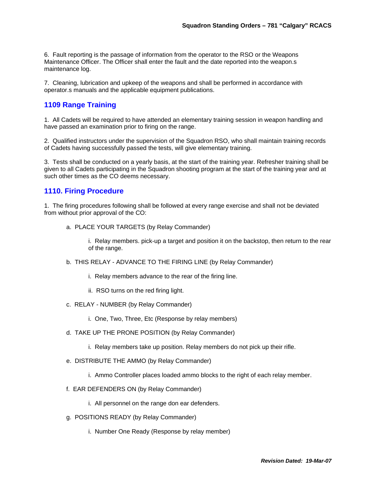6. Fault reporting is the passage of information from the operator to the RSO or the Weapons Maintenance Officer. The Officer shall enter the fault and the date reported into the weapon.s maintenance log.

7. Cleaning, lubrication and upkeep of the weapons and shall be performed in accordance with operator.s manuals and the applicable equipment publications.

#### **1109 Range Training**

1. All Cadets will be required to have attended an elementary training session in weapon handling and have passed an examination prior to firing on the range.

2. Qualified instructors under the supervision of the Squadron RSO, who shall maintain training records of Cadets having successfully passed the tests, will give elementary training.

3. Tests shall be conducted on a yearly basis, at the start of the training year. Refresher training shall be given to all Cadets participating in the Squadron shooting program at the start of the training year and at such other times as the CO deems necessary.

#### **1110. Firing Procedure**

1. The firing procedures following shall be followed at every range exercise and shall not be deviated from without prior approval of the CO:

a. PLACE YOUR TARGETS (by Relay Commander)

i. Relay members. pick-up a target and position it on the backstop, then return to the rear of the range.

- b. THIS RELAY ADVANCE TO THE FIRING LINE (by Relay Commander)
	- i. Relay members advance to the rear of the firing line.
	- ii. RSO turns on the red firing light.
- c. RELAY NUMBER (by Relay Commander)
	- i. One, Two, Three, Etc (Response by relay members)
- d. TAKE UP THE PRONE POSITION (by Relay Commander)
	- i. Relay members take up position. Relay members do not pick up their rifle.
- e. DISTRIBUTE THE AMMO (by Relay Commander)
	- i. Ammo Controller places loaded ammo blocks to the right of each relay member.
- f. EAR DEFENDERS ON (by Relay Commander)
	- i. All personnel on the range don ear defenders.
- g. POSITIONS READY (by Relay Commander)
	- i. Number One Ready (Response by relay member)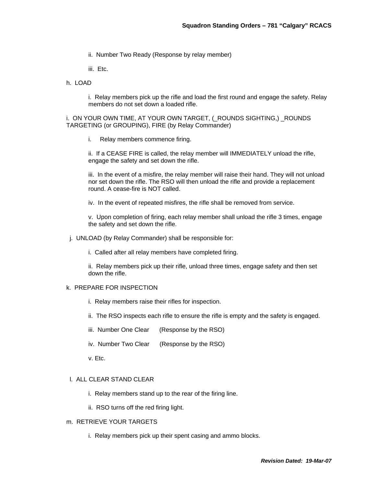- ii. Number Two Ready (Response by relay member)
- iii. Etc.
- h. LOAD

i. Relay members pick up the rifle and load the first round and engage the safety. Relay members do not set down a loaded rifle.

i. ON YOUR OWN TIME, AT YOUR OWN TARGET, (\_ROUNDS SIGHTING,) \_ROUNDS TARGETING (or GROUPING), FIRE (by Relay Commander)

i. Relay members commence firing.

ii. If a CEASE FIRE is called, the relay member will IMMEDIATELY unload the rifle, engage the safety and set down the rifle.

iii. In the event of a misfire, the relay member will raise their hand. They will not unload nor set down the rifle. The RSO will then unload the rifle and provide a replacement round. A cease-fire is NOT called.

iv. In the event of repeated misfires, the rifle shall be removed from service.

v. Upon completion of firing, each relay member shall unload the rifle 3 times, engage the safety and set down the rifle.

j. UNLOAD (by Relay Commander) shall be responsible for:

i. Called after all relay members have completed firing.

ii. Relay members pick up their rifle, unload three times, engage safety and then set down the rifle.

#### k. PREPARE FOR INSPECTION

- i. Relay members raise their rifles for inspection.
- ii. The RSO inspects each rifle to ensure the rifle is empty and the safety is engaged.
- iii. Number One Clear (Response by the RSO)
- iv. Number Two Clear (Response by the RSO)
- v. Etc.

#### l. ALL CLEAR STAND CLEAR

- i. Relay members stand up to the rear of the firing line.
- ii. RSO turns off the red firing light.

#### m. RETRIEVE YOUR TARGETS

i. Relay members pick up their spent casing and ammo blocks.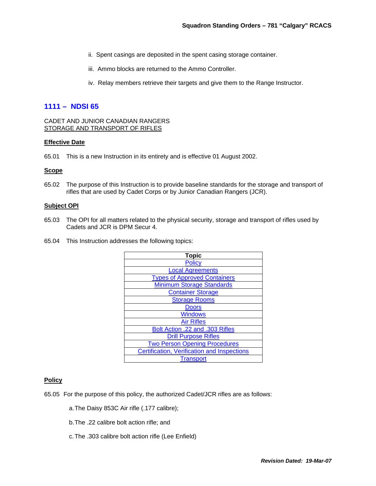- ii. Spent casings are deposited in the spent casing storage container.
- iii. Ammo blocks are returned to the Ammo Controller.
- iv. Relay members retrieve their targets and give them to the Range Instructor.

#### **1111 – NDSI 65**

CADET AND JUNIOR CANADIAN RANGERS STORAGE AND TRANSPORT OF RIFLES

#### **Effective Date**

65.01 This is a new Instruction in its entirety and is effective 01 August 2002.

#### **Scope**

65.02 The purpose of this Instruction is to provide baseline standards for the storage and transport of rifles that are used by Cadet Corps or by Junior Canadian Rangers (JCR).

#### **Subject OPI**

- 65.03 The OPI for all matters related to the physical security, storage and transport of rifles used by Cadets and JCR is DPM Secur 4.
- 65.04 This Instruction addresses the following topics:

| <b>Topic</b>                                       |
|----------------------------------------------------|
| <b>Policy</b>                                      |
| <b>Local Agreements</b>                            |
| <b>Types of Approved Containers</b>                |
| <b>Minimum Storage Standards</b>                   |
| <b>Container Storage</b>                           |
| <b>Storage Rooms</b>                               |
| <b>Doors</b>                                       |
| <b>Windows</b>                                     |
| <b>Air Rifles</b>                                  |
| Bolt Action .22 and .303 Rifles                    |
| <b>Drill Purpose Rifles</b>                        |
| <b>Two Person Opening Procedures</b>               |
| <b>Certification, Verification and Inspections</b> |
| <b>Transport</b>                                   |

#### **Policy**

65.05 For the purpose of this policy, the authorized Cadet/JCR rifles are as follows:

- a. The Daisy 853C Air rifle (.177 calibre);
- b. The .22 calibre bolt action rifle; and
- c. The .303 calibre bolt action rifle (Lee Enfield)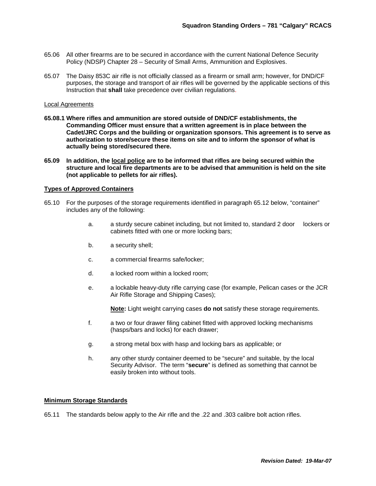- 65.06 All other firearms are to be secured in accordance with the current National Defence Security Policy (NDSP) Chapter 28 – Security of Small Arms, Ammunition and Explosives.
- 65.07 The Daisy 853C air rifle is not officially classed as a firearm or small arm; however, for DND/CF purposes, the storage and transport of air rifles will be governed by the applicable sections of this Instruction that **shall** take precedence over civilian regulations.

#### Local Agreements

- **65.08.1 Where rifles and ammunition are stored outside of DND/CF establishments, the Commanding Officer must ensure that a written agreement is in place between the Cadet/JRC Corps and the building or organization sponsors. This agreement is to serve as authorization to store/secure these items on site and to inform the sponsor of what is actually being stored/secured there.**
- **65.09 In addition, the local police are to be informed that rifles are being secured within the structure and local fire departments are to be advised that ammunition is held on the site (not applicable to pellets for air rifles).**

#### **Types of Approved Containers**

- 65.10 For the purposes of the storage requirements identified in paragraph 65.12 below, "container" includes any of the following:
	- a. a sturdy secure cabinet including, but not limited to, standard 2 door lockers or cabinets fitted with one or more locking bars;
	- b. a security shell;
	- c. a commercial firearms safe/locker;
	- d. a locked room within a locked room;
	- e. a lockable heavy-duty rifle carrying case (for example, Pelican cases or the JCR Air Rifle Storage and Shipping Cases);

**Note:** Light weight carrying cases **do not** satisfy these storage requirements.

- f. a two or four drawer filing cabinet fitted with approved locking mechanisms (hasps/bars and locks) for each drawer;
- g. a strong metal box with hasp and locking bars as applicable; or
- h. any other sturdy container deemed to be "secure" and suitable, by the local Security Advisor. The term "**secure**" is defined as something that cannot be easily broken into without tools.

#### **Minimum Storage Standards**

65.11 The standards below apply to the Air rifle and the .22 and .303 calibre bolt action rifles.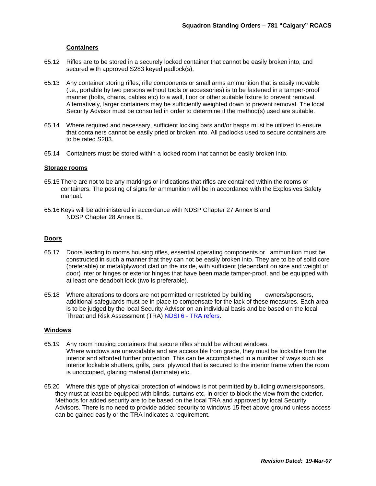#### **Containers**

- 65.12 Rifles are to be stored in a securely locked container that cannot be easily broken into, and secured with approved S283 keyed padlock(s).
- 65.13 Any container storing rifles, rifle components or small arms ammunition that is easily movable (i.e., portable by two persons without tools or accessories) is to be fastened in a tamper-proof manner (bolts, chains, cables etc) to a wall, floor or other suitable fixture to prevent removal. Alternatively, larger containers may be sufficiently weighted down to prevent removal. The local Security Advisor must be consulted in order to determine if the method(s) used are suitable.
- 65.14 Where required and necessary, sufficient locking bars and/or hasps must be utilized to ensure that containers cannot be easily pried or broken into. All padlocks used to secure containers are to be rated S283.
- 65.14 Containers must be stored within a locked room that cannot be easily broken into.

#### **Storage rooms**

- 65.15 There are not to be any markings or indications that rifles are contained within the rooms or containers. The posting of signs for ammunition will be in accordance with the Explosives Safety manual.
- 65.16 Keys will be administered in accordance with NDSP Chapter 27 Annex B and NDSP Chapter 28 Annex B.

#### **Doors**

- 65.17 Doors leading to rooms housing rifles, essential operating components or ammunition must be constructed in such a manner that they can not be easily broken into. They are to be of solid core (preferable) or metal/plywood clad on the inside, with sufficient (dependant on size and weight of door) interior hinges or exterior hinges that have been made tamper-proof, and be equipped with at least one deadbolt lock (two is preferable).
- 65.18 Where alterations to doors are not permitted or restricted by building owners/sponsors, additional safeguards must be in place to compensate for the lack of these measures. Each area is to be judged by the local Security Advisor on an individual basis and be based on the local Threat and Risk Assessment (TRA) NDSI 6 - TRA refers.

#### **Windows**

- 65.19 Any room housing containers that secure rifles should be without windows. Where windows are unavoidable and are accessible from grade, they must be lockable from the interior and afforded further protection. This can be accomplished in a number of ways such as interior lockable shutters, grills, bars, plywood that is secured to the interior frame when the room is unoccupied, glazing material (laminate) etc.
- 65.20 Where this type of physical protection of windows is not permitted by building owners/sponsors, they must at least be equipped with blinds, curtains etc, in order to block the view from the exterior. Methods for added security are to be based on the local TRA and approved by local Security Advisors. There is no need to provide added security to windows 15 feet above ground unless access can be gained easily or the TRA indicates a requirement.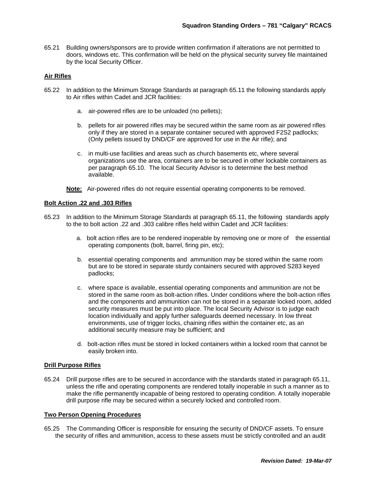65.21 Building owners/sponsors are to provide written confirmation if alterations are not permitted to doors, windows etc. This confirmation will be held on the physical security survey file maintained by the local Security Officer.

#### **Air Rifles**

- 65.22 In addition to the Minimum Storage Standards at paragraph 65.11 the following standards apply to Air rifles within Cadet and JCR facilities:
	- a. air-powered rifles are to be unloaded (no pellets);
	- b. pellets for air powered rifles may be secured within the same room as air powered rifles only if they are stored in a separate container secured with approved F2S2 padlocks; (Only pellets issued by DND/CF are approved for use in the Air rifle); and
	- c. in multi-use facilities and areas such as church basements etc, where several organizations use the area, containers are to be secured in other lockable containers as per paragraph 65.10. The local Security Advisor is to determine the best method available.

**Note:** Air-powered rifles do not require essential operating components to be removed.

#### **Bolt Action .22 and .303 Rifles**

- 65.23 In addition to the Minimum Storage Standards at paragraph 65.11, the following standards apply to the to bolt action .22 and .303 calibre rifles held within Cadet and JCR facilities:
	- a. bolt action rifles are to be rendered inoperable by removing one or more of the essential operating components (bolt, barrel, firing pin, etc);
	- b. essential operating components and ammunition may be stored within the same room but are to be stored in separate sturdy containers secured with approved S283 keyed padlocks;
	- c. where space is available, essential operating components and ammunition are not be stored in the same room as bolt-action rifles. Under conditions where the bolt-action rifles and the components and ammunition can not be stored in a separate locked room, added security measures must be put into place. The local Security Advisor is to judge each location individually and apply further safeguards deemed necessary. In low threat environments, use of trigger locks, chaining rifles within the container etc, as an additional security measure may be sufficient; and
	- d. bolt-action rifles must be stored in locked containers within a locked room that cannot be easily broken into.

#### **Drill Purpose Rifles**

65.24 Drill purpose rifles are to be secured in accordance with the standards stated in paragraph 65.11, unless the rifle and operating components are rendered totally inoperable in such a manner as to make the rifle permanently incapable of being restored to operating condition. A totally inoperable drill purpose rifle may be secured within a securely locked and controlled room.

#### **Two Person Opening Procedures**

65.25 The Commanding Officer is responsible for ensuring the security of DND/CF assets. To ensure the security of rifles and ammunition, access to these assets must be strictly controlled and an audit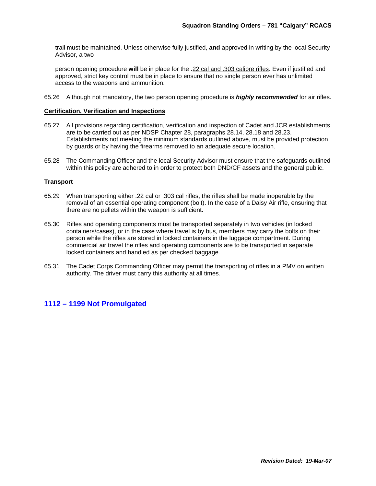trail must be maintained. Unless otherwise fully justified, **and** approved in writing by the local Security Advisor, a two

person opening procedure **will** be in place for the .22 cal and .303 calibre rifles. Even if justified and approved, strict key control must be in place to ensure that no single person ever has unlimited access to the weapons and ammunition.

65.26 Although not mandatory, the two person opening procedure is *highly recommended* for air rifles.

#### **Certification, Verification and Inspections**

- 65.27 All provisions regarding certification, verification and inspection of Cadet and JCR establishments are to be carried out as per NDSP Chapter 28, paragraphs 28.14, 28.18 and 28.23. Establishments not meeting the minimum standards outlined above, must be provided protection by guards or by having the firearms removed to an adequate secure location.
- 65.28 The Commanding Officer and the local Security Advisor must ensure that the safeguards outlined within this policy are adhered to in order to protect both DND/CF assets and the general public.

#### **Transport**

- 65.29 When transporting either .22 cal or .303 cal rifles, the rifles shall be made inoperable by the removal of an essential operating component (bolt). In the case of a Daisy Air rifle, ensuring that there are no pellets within the weapon is sufficient.
- 65.30 Rifles and operating components must be transported separately in two vehicles (in locked containers/cases), or in the case where travel is by bus, members may carry the bolts on their person while the rifles are stored in locked containers in the luggage compartment. During commercial air travel the rifles and operating components are to be transported in separate locked containers and handled as per checked baggage.
- 65.31 The Cadet Corps Commanding Officer may permit the transporting of rifles in a PMV on written authority. The driver must carry this authority at all times.

#### **1112 – 1199 Not Promulgated**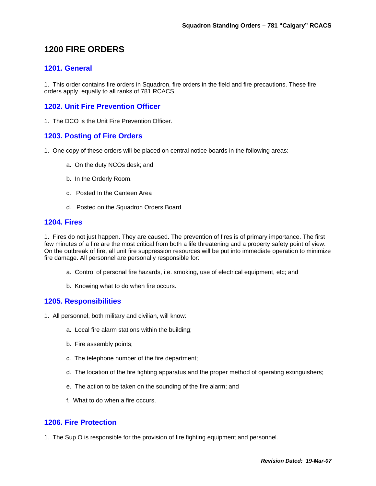# **1200 FIRE ORDERS**

# **1201. General**

1. This order contains fire orders in Squadron, fire orders in the field and fire precautions. These fire orders apply equally to all ranks of 781 RCACS.

# **1202. Unit Fire Prevention Officer**

1. The DCO is the Unit Fire Prevention Officer.

# **1203. Posting of Fire Orders**

- 1. One copy of these orders will be placed on central notice boards in the following areas:
	- a. On the duty NCOs desk; and
	- b. In the Orderly Room.
	- c. Posted In the Canteen Area
	- d. Posted on the Squadron Orders Board

#### **1204. Fires**

1. Fires do not just happen. They are caused. The prevention of fires is of primary importance. The first few minutes of a fire are the most critical from both a life threatening and a property safety point of view. On the outbreak of fire, all unit fire suppression resources will be put into immediate operation to minimize fire damage. All personnel are personally responsible for:

- a. Control of personal fire hazards, i.e. smoking, use of electrical equipment, etc; and
- b. Knowing what to do when fire occurs.

#### **1205. Responsibilities**

- 1. All personnel, both military and civilian, will know:
	- a. Local fire alarm stations within the building;
	- b. Fire assembly points;
	- c. The telephone number of the fire department;
	- d. The location of the fire fighting apparatus and the proper method of operating extinguishers;
	- e. The action to be taken on the sounding of the fire alarm; and
	- f. What to do when a fire occurs.

#### **1206. Fire Protection**

1. The Sup O is responsible for the provision of fire fighting equipment and personnel.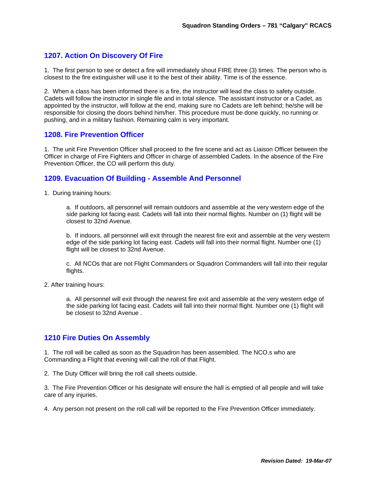# **1207. Action On Discovery Of Fire**

1. The first person to see or detect a fire will immediately shout FIRE three (3) times. The person who is closest to the fire extinguisher will use it to the best of their ability. Time is of the essence.

2. When a class has been informed there is a fire, the instructor will lead the class to safety outside. Cadets will follow the instructor in single file and in total silence. The assistant instructor or a Cadet, as appointed by the instructor, will follow at the end, making sure no Cadets are left behind; he/she will be responsible for closing the doors behind him/her. This procedure must be done quickly, no running or pushing, and in a military fashion. Remaining calm is very important.

#### **1208. Fire Prevention Officer**

1. The unit Fire Prevention Officer shall proceed to the fire scene and act as Liaison Officer between the Officer in charge of Fire Fighters and Officer in charge of assembled Cadets. In the absence of the Fire Prevention Officer, the CO will perform this duty.

# **1209. Evacuation Of Building - Assemble And Personnel**

1. During training hours:

a. If outdoors, all personnel will remain outdoors and assemble at the very western edge of the side parking lot facing east. Cadets will fall into their normal flights. Number on (1) flight will be closest to 32nd Avenue.

b. If indoors, all personnel will exit through the nearest fire exit and assemble at the very western edge of the side parking lot facing east. Cadets will fall into their normal flight. Number one (1) flight will be closest to 32nd Avenue.

c. All NCOs that are not Flight Commanders or Squadron Commanders will fall into their regular flights.

2. After training hours:

a. All personnel will exit through the nearest fire exit and assemble at the very western edge of the side parking lot facing east. Cadets will fall into their normal flight. Number one (1) flight will be closest to 32nd Avenue .

#### **1210 Fire Duties On Assembly**

1. The roll will be called as soon as the Squadron has been assembled. The NCO.s who are Commanding a Flight that evening will call the roll of that Flight.

2. The Duty Officer will bring the roll call sheets outside.

3. The Fire Prevention Officer or his designate will ensure the hall is emptied of all people and will take care of any injuries.

4. Any person not present on the roll call will be reported to the Fire Prevention Officer immediately.